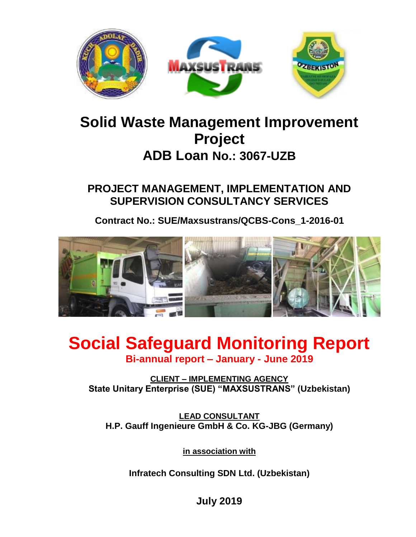

## **Solid Waste Management Improvement Project ADB Loan No.: 3067-UZB**

**PROJECT MANAGEMENT, IMPLEMENTATION AND SUPERVISION CONSULTANCY SERVICES**

**Contract No.: SUE/Maxsustrans/QCBS-Cons\_1-2016-01**



## **Social Safeguard Monitoring Report Bi-annual report – January - June 2019**

**CLIENT – IMPLEMENTING AGENCY State Unitary Enterprise (SUE) "MAXSUSTRANS" (Uzbekistan)**

**LEAD CONSULTANT H.P. Gauff Ingenieure GmbH & Co. KG-JBG (Germany)**

**in association with**

**Infratech Consulting SDN Ltd. (Uzbekistan)**

**July 2019**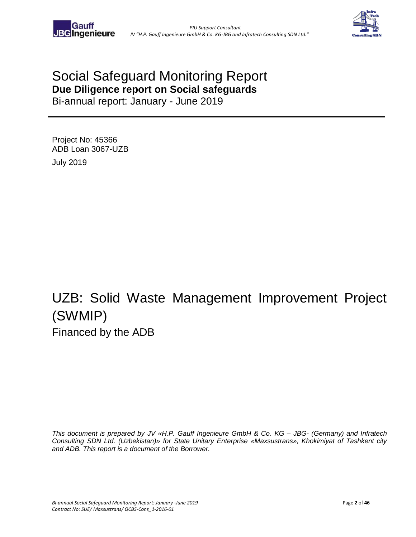

## Social Safeguard Monitoring Report **Due Diligence report on Social safeguards**

Bi-annual report: January - June 2019

Project No: 45366 ADB Loan 3067-UZB July 2019

# UZB: Solid Waste Management Improvement Project (SWMIP) Financed by the ADB

*This document is prepared by JV «H.P. Gauff Ingenieure GmbH & Co. KG – JBG- (Germany) and Infratech Consulting SDN Ltd. (Uzbekistan)» for State Unitary Enterprise «Maxsustrans», Khokimiyat of Tashkent city and ADB. This report is a document of the Borrower.*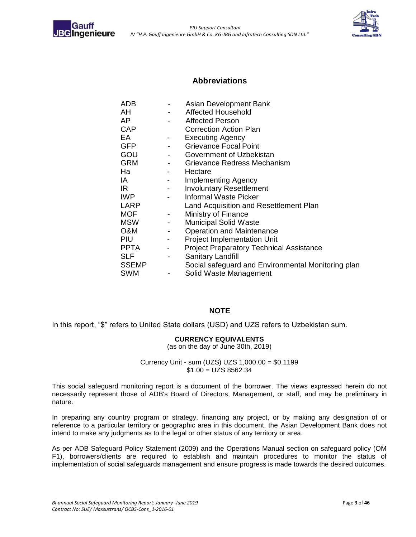<span id="page-2-0"></span>



#### **Abbreviations**

| ADB          |                          | Asian Development Bank                             |
|--------------|--------------------------|----------------------------------------------------|
| AH           |                          | Affected Household                                 |
| AP           | $\overline{\phantom{a}}$ | Affected Person                                    |
| <b>CAP</b>   |                          | <b>Correction Action Plan</b>                      |
| EA           | -                        | <b>Executing Agency</b>                            |
| <b>GFP</b>   |                          | <b>Grievance Focal Point</b>                       |
| GOU          | $\sim$ 100 $\mu$         | Government of Uzbekistan                           |
| <b>GRM</b>   | $\overline{\phantom{a}}$ | Grievance Redress Mechanism                        |
| Ha           | $\sim$ 100 $\sim$        | Hectare                                            |
| IA           |                          | Implementing Agency                                |
| IR.          |                          | <b>Involuntary Resettlement</b>                    |
| IWP          |                          | Informal Waste Picker                              |
| LARP         |                          | Land Acquisition and Resettlement Plan             |
| <b>MOF</b>   | $\sim$                   | Ministry of Finance                                |
| <b>MSW</b>   |                          | <b>Municipal Solid Waste</b>                       |
| O&M          | $\overline{\phantom{a}}$ | <b>Operation and Maintenance</b>                   |
| PIU          |                          | <b>Project Implementation Unit</b>                 |
| <b>PPTA</b>  | $\overline{\phantom{a}}$ | <b>Project Preparatory Technical Assistance</b>    |
| <b>SLF</b>   | $\overline{\phantom{0}}$ | Sanitary Landfill                                  |
| <b>SSEMP</b> |                          | Social safeguard and Environmental Monitoring plan |
| <b>SWM</b>   | $\overline{\phantom{a}}$ | Solid Waste Management                             |

#### **NOTE**

In this report, "\$" refers to United State dollars (USD) and UZS refers to Uzbekistan sum.

#### **CURRENCY EQUIVALENTS**

(as on the day of June 30th, 2019)

Currency Unit - sum (UZS) UZS 1,000.00 = \$0.1199  $$1.00 = UZS 8562.34$ 

This social safeguard monitoring report is a document of the borrower. The views expressed herein do not necessarily represent those of ADB's Board of Directors, Management, or staff, and may be preliminary in nature.

In preparing any country program or strategy, financing any project, or by making any designation of or reference to a particular territory or geographic area in this document, the Asian Development Bank does not intend to make any judgments as to the legal or other status of any territory or area.

As per ADB Safeguard Policy Statement (2009) and the Operations Manual section on safeguard policy (OM F1), borrowers/clients are required to establish and maintain procedures to monitor the status of implementation of social safeguards management and ensure progress is made towards the desired outcomes.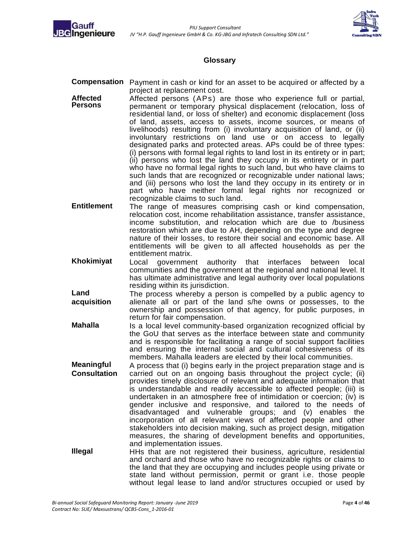



#### **Glossary**

- <span id="page-3-0"></span>**Compensation** Payment in cash or kind for an asset to be acquired or affected by a project at replacement cost.
- **Affected Persons** Affected persons (APs) are those who experience full or partial, permanent or temporary physical displacement (relocation, loss of residential land, or loss of shelter) and economic displacement (loss of land, assets, access to assets, income sources, or means of livelihoods) resulting from (i) involuntary acquisition of land, or (ii) involuntary restrictions on land use or on access to legally designated parks and protected areas. APs could be of three types: (i) persons with formal legal rights to land lost in its entirety or in part; (ii) persons who lost the land they occupy in its entirety or in part who have no formal legal rights to such land, but who have claims to such lands that are recognized or recognizable under national laws; and (iii) persons who lost the land they occupy in its entirety or in part who have neither formal legal rights nor recognized or recognizable claims to such land.
- **Entitlement** The range of measures comprising cash or kind compensation, relocation cost, income rehabilitation assistance, transfer assistance, income substitution, and relocation which are due to /business restoration which are due to AH, depending on the type and degree nature of their losses, to restore their social and economic base. All entitlements will be given to all affected households as per the entitlement matrix.
- **Khokimiyat** Local government authority that interfaces between local communities and the government at the regional and national level. It has ultimate administrative and legal authority over local populations residing within its jurisdiction.
- **Land acquisition** The process whereby a person is compelled by a public agency to alienate all or part of the land s/he owns or possesses, to the ownership and possession of that agency, for public purposes, in return for fair compensation.
- **Mahalla** Is a local level community-based organization recognized official by the GoU that serves as the interface between state and community and is responsible for facilitating a range of social support facilities and ensuring the internal social and cultural cohesiveness of its members. Mahalla leaders are elected by their local communities.
- **Meaningful Consultation** A process that (i) begins early in the project preparation stage and is carried out on an ongoing basis throughout the project cycle; (ii) provides timely disclosure of relevant and adequate information that is understandable and readily accessible to affected people; (iii) is undertaken in an atmosphere free of intimidation or coercion; (iv) is gender inclusive and responsive, and tailored to the needs of disadvantaged and vulnerable groups; and (v) enables the incorporation of all relevant views of affected people and other stakeholders into decision making, such as project design, mitigation measures, the sharing of development benefits and opportunities, and implementation issues.
- **Illegal** HHs that are not registered their business, agriculture, residential and orchard and those who have no recognizable rights or claims to the land that they are occupying and includes people using private or state land without permission, permit or grant i.e. those people without legal lease to land and/or structures occupied or used by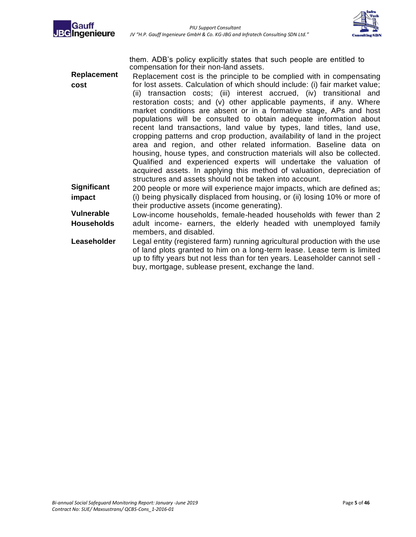



them. ADB's policy explicitly states that such people are entitled to compensation for their non-land assets.

- **Replacement cost** Replacement cost is the principle to be complied with in compensating for lost assets. Calculation of which should include: (i) fair market value; (ii) transaction costs; (iii) interest accrued, (iv) transitional and restoration costs; and (v) other applicable payments, if any. Where market conditions are absent or in a formative stage, APs and host populations will be consulted to obtain adequate information about recent land transactions, land value by types, land titles, land use, cropping patterns and crop production, availability of land in the project area and region, and other related information. Baseline data on housing, house types, and construction materials will also be collected. Qualified and experienced experts will undertake the valuation of acquired assets. In applying this method of valuation, depreciation of structures and assets should not be taken into account. **Significant** 200 people or more will experience major impacts, which are defined as;
- **impact** (i) being physically displaced from housing, or (ii) losing 10% or more of their productive assets (income generating).
- **Vulnerable Households** Low-income households, female-headed households with fewer than 2 adult income- earners, the elderly headed with unemployed family members, and disabled.
- **Leaseholder** Legal entity (registered farm) running agricultural production with the use of land plots granted to him on a long-term lease. Lease term is limited up to fifty years but not less than for ten years. Leaseholder cannot sell buy, mortgage, sublease present, exchange the land.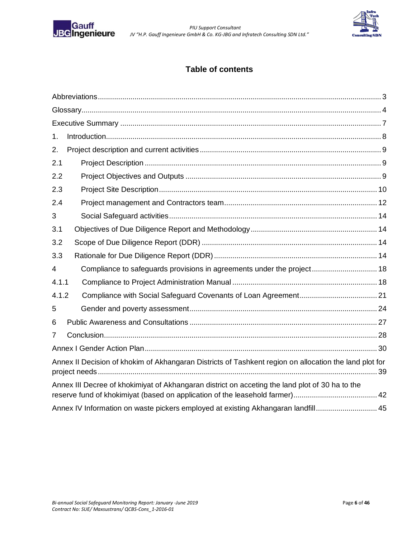

 *PIU Support Consultant JV "H.P. Gauff Ingenieure GmbH & Co. KG-JBG and Infratech Consulting SDN Ltd."*



### **Table of contents**

| 1.             |                                                                                                        |  |
|----------------|--------------------------------------------------------------------------------------------------------|--|
| 2.             |                                                                                                        |  |
| 2.1            |                                                                                                        |  |
| 2.2            |                                                                                                        |  |
| 2.3            |                                                                                                        |  |
| 2.4            |                                                                                                        |  |
| 3              |                                                                                                        |  |
| 3.1            |                                                                                                        |  |
| 3.2            |                                                                                                        |  |
| 3.3            |                                                                                                        |  |
| $\overline{4}$ | Compliance to safeguards provisions in agreements under the project 18                                 |  |
| 4.1.1          |                                                                                                        |  |
| 4.1.2          |                                                                                                        |  |
| 5              |                                                                                                        |  |
| 6              |                                                                                                        |  |
| $\overline{7}$ |                                                                                                        |  |
|                |                                                                                                        |  |
|                | Annex II Decision of khokim of Akhangaran Districts of Tashkent region on allocation the land plot for |  |
|                | Annex III Decree of khokimiyat of Akhangaran district on acceting the land plot of 30 ha to the        |  |
|                | Annex IV Information on waste pickers employed at existing Akhangaran landfill 45                      |  |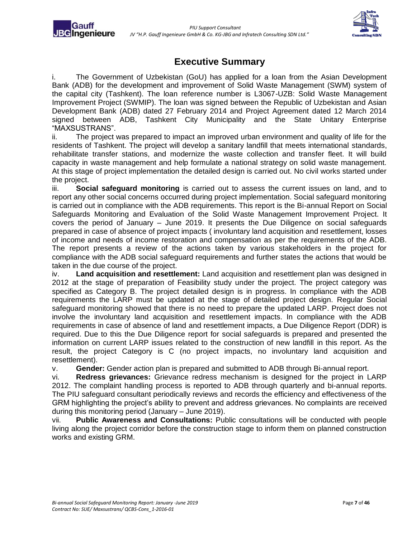**BGIngenieure** 



### **Executive Summary**

<span id="page-6-0"></span>i. The Government of Uzbekistan (GoU) has applied for a loan from the Asian Development Bank (ADB) for the development and improvement of Solid Waste Management (SWM) system of the capital city (Tashkent). The loan reference number is L3067-UZB: Solid Waste Management Improvement Project (SWMIP). The loan was signed between the Republic of Uzbekistan and Asian Development Bank (ADB) dated 27 February 2014 and Project Agreement dated 12 March 2014 signed between ADB, Tashkent City Municipality and the State Unitary Enterprise "MAXSUSTRANS".

ii. The project was prepared to impact an improved urban environment and quality of life for the residents of Tashkent. The project will develop a sanitary landfill that meets international standards, rehabilitate transfer stations, and modernize the waste collection and transfer fleet. It will build capacity in waste management and help formulate a national strategy on solid waste management. At this stage of project implementation the detailed design is carried out. No civil works started under the project.

iii. **Social safeguard monitoring** is carried out to assess the current issues on land, and to report any other social concerns occurred during project implementation. Social safeguard monitoring is carried out in compliance with the ADB requirements. This report is the Bi-annual Report on Social Safeguards Monitoring and Evaluation of the Solid Waste Management Improvement Project. It covers the period of January – June 2019. It presents the Due Diligence on social safeguards prepared in case of absence of project impacts ( involuntary land acquisition and resettlement, losses of income and needs of income restoration and compensation as per the requirements of the ADB. The report presents a review of the actions taken by various stakeholders in the project for compliance with the ADB social safeguard requirements and further states the actions that would be taken in the due course of the project.

iv. **Land acquisition and resettlement:** Land acquisition and resettlement plan was designed in 2012 at the stage of preparation of Feasibility study under the project. The project category was specified as Category B. The project detailed design is in progress. In compliance with the ADB requirements the LARP must be updated at the stage of detailed project design. Regular Social safeguard monitoring showed that there is no need to prepare the updated LARP. Project does not involve the involuntary land acquisition and resettlement impacts. In compliance with the ADB requirements in case of absence of land and resettlement impacts, a Due Diligence Report (DDR) is required. Due to this the Due Diligence report for social safeguards is prepared and presented the information on current LARP issues related to the construction of new landfill in this report. As the result, the project Category is C (no project impacts, no involuntary land acquisition and resettlement).

v. **Gender:** Gender action plan is prepared and submitted to ADB through Bi-annual report.

vi. **Redress grievances:** Grievance redress mechanism is designed for the project in LARP 2012. The complaint handling process is reported to ADB through quarterly and bi-annual reports. The PIU safeguard consultant periodically reviews and records the efficiency and effectiveness of the GRM highlighting the project's ability to prevent and address grievances. No complaints are received during this monitoring period (January – June 2019).

vii. **Public Awareness and Consultations:** Public consultations will be conducted with people living along the project corridor before the construction stage to inform them on planned construction works and existing GRM.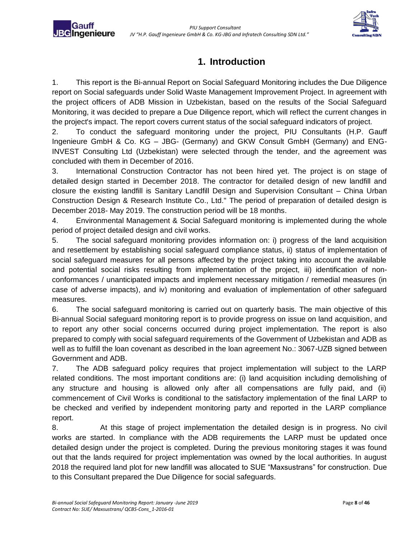Gaufi **JBG**Ingenieure



### **1. Introduction**

<span id="page-7-0"></span>1. This report is the Bi-annual Report on Social Safeguard Monitoring includes the Due Diligence report on Social safeguards under Solid Waste Management Improvement Project. In agreement with the project officers of ADB Mission in Uzbekistan, based on the results of the Social Safeguard Monitoring, it was decided to prepare a Due Diligence report, which will reflect the current changes in the project's impact. The report covers current status of the social safeguard indicators of project.

2. To conduct the safeguard monitoring under the project, PIU Consultants (H.P. Gauff Ingenieure GmbH & Co. KG – JBG- (Germany) and GKW Consult GmbH (Germany) and ENG-INVEST Consulting Ltd (Uzbekistan) were selected through the tender, and the agreement was concluded with them in December of 2016.

3. International Construction Contractor has not been hired yet. The project is on stage of detailed design started in December 2018. The contractor for detailed design of new landfill and closure the existing landfill is Sanitary Landfill Design and Supervision Consultant – China Urban Construction Design & Research Institute Co., Ltd." The period of preparation of detailed design is December 2018- May 2019. The construction period will be 18 months.

4. Environmental Management & Social Safeguard monitoring is implemented during the whole period of project detailed design and civil works.

5. The social safeguard monitoring provides information on: i) progress of the land acquisition and resettlement by establishing social safeguard compliance status, ii) status of implementation of social safeguard measures for all persons affected by the project taking into account the available and potential social risks resulting from implementation of the project, iii) identification of nonconformances / unanticipated impacts and implement necessary mitigation / remedial measures (in case of adverse impacts), and iv) monitoring and evaluation of implementation of other safeguard measures.

6. The social safeguard monitoring is carried out on quarterly basis. The main objective of this Bi-annual Social safeguard monitoring report is to provide progress on issue on land acquisition, and to report any other social concerns occurred during project implementation. The report is also prepared to comply with social safeguard requirements of the Government of Uzbekistan and ADB as well as to fulfill the loan covenant as described in the loan agreement No.: 3067-UZB signed between Government and ADB.

7. The ADB safeguard policy requires that project implementation will subject to the LARP related conditions. The most important conditions are: (i) land acquisition including demolishing of any structure and housing is allowed only after all compensations are fully paid, and (ii) commencement of Civil Works is conditional to the satisfactory implementation of the final LARP to be checked and verified by independent monitoring party and reported in the LARP compliance report.

8. At this stage of project implementation the detailed design is in progress. No civil works are started. In compliance with the ADB requirements the LARP must be updated once detailed design under the project is completed. During the previous monitoring stages it was found out that the lands required for project implementation was owned by the local authorities. In august 2018 the required land plot for new landfill was allocated to SUE "Maxsustrans" for construction. Due to this Consultant prepared the Due Diligence for social safeguards.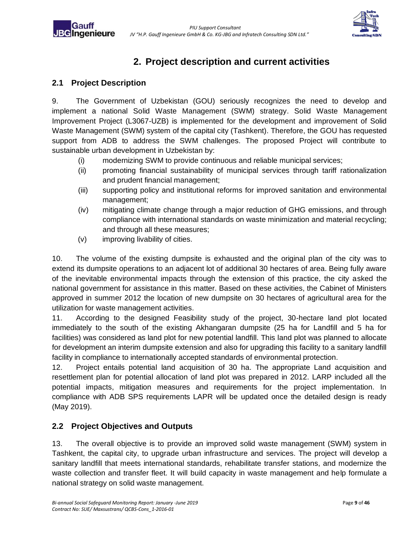

### **2. Project description and current activities**

### <span id="page-8-1"></span><span id="page-8-0"></span>**2.1 Project Description**

Gauff **JBG**Ingenieure

9. The Government of Uzbekistan (GOU) seriously recognizes the need to develop and implement a national Solid Waste Management (SWM) strategy. Solid Waste Management Improvement Project (L3067-UZB) is implemented for the development and improvement of Solid Waste Management (SWM) system of the capital city (Tashkent). Therefore, the GOU has requested support from ADB to address the SWM challenges. The proposed Project will contribute to sustainable urban development in Uzbekistan by:

- (i) modernizing SWM to provide continuous and reliable municipal services;
- (ii) promoting financial sustainability of municipal services through tariff rationalization and prudent financial management;
- (iii) supporting policy and institutional reforms for improved sanitation and environmental management;
- (iv) mitigating climate change through a major reduction of GHG emissions, and through compliance with international standards on waste minimization and material recycling; and through all these measures;
- (v) improving livability of cities.

10. The volume of the existing dumpsite is exhausted and the original plan of the city was to extend its dumpsite operations to an adjacent lot of additional 30 hectares of area. Being fully aware of the inevitable environmental impacts through the extension of this practice, the city asked the national government for assistance in this matter. Based on these activities, the Cabinet of Ministers approved in summer 2012 the location of new dumpsite on 30 hectares of agricultural area for the utilization for waste management activities.

11. According to the designed Feasibility study of the project, 30-hectare land plot located immediately to the south of the existing Akhangaran dumpsite (25 ha for Landfill and 5 ha for facilities) was considered as land plot for new potential landfill. This land plot was planned to allocate for development an interim dumpsite extension and also for upgrading this facility to a sanitary landfill facility in compliance to internationally accepted standards of environmental protection.

12. Project entails potential land acquisition of 30 ha. The appropriate Land acquisition and resettlement plan for potential allocation of land plot was prepared in 2012. LARP included all the potential impacts, mitigation measures and requirements for the project implementation. In compliance with ADB SPS requirements LAPR will be updated once the detailed design is ready (May 2019).

### <span id="page-8-2"></span>**2.2 Project Objectives and Outputs**

13. The overall objective is to provide an improved solid waste management (SWM) system in Tashkent, the capital city, to upgrade urban infrastructure and services. The project will develop a sanitary landfill that meets international standards, rehabilitate transfer stations, and modernize the waste collection and transfer fleet. It will build capacity in waste management and help formulate a national strategy on solid waste management.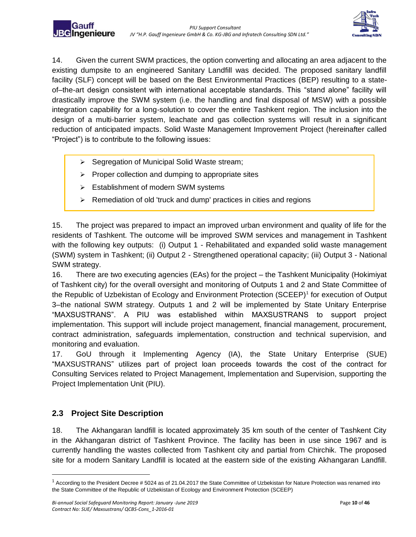

14. Given the current SWM practices, the option converting and allocating an area adjacent to the existing dumpsite to an engineered Sanitary Landfill was decided. The proposed sanitary landfill facility (SLF) concept will be based on the Best Environmental Practices (BEP) resulting to a stateof–the-art design consistent with international acceptable standards. This "stand alone" facility will drastically improve the SWM system (i.e. the handling and final disposal of MSW) with a possible integration capability for a long-solution to cover the entire Tashkent region. The inclusion into the design of a multi-barrier system, leachate and gas collection systems will result in a significant reduction of anticipated impacts. Solid Waste Management Improvement Project (hereinafter called "Project") is to contribute to the following issues:

- ➢ Segregation of Municipal Solid Waste stream;
- ➢ Proper collection and dumping to appropriate sites
- ➢ Establishment of modern SWM systems

Gaut **JBG**Ingenieure

➢ Remediation of old 'truck and dump' practices in cities and regions

15. The project was prepared to impact an improved urban environment and quality of life for the residents of Tashkent. The outcome will be improved SWM services and management in Tashkent with the following key outputs: (i) Output 1 - Rehabilitated and expanded solid waste management (SWM) system in Tashkent; (ii) Output 2 - Strengthened operational capacity; (iii) Output 3 - National SWM strategy.

16. There are two executing agencies (EAs) for the project – the Tashkent Municipality (Hokimiyat of Tashkent city) for the overall oversight and monitoring of Outputs 1 and 2 and State Committee of the Republic of Uzbekistan of Ecology and Environment Protection (SCEEP)<sup>1</sup> for execution of Output 3–the national SWM strategy. Outputs 1 and 2 will be implemented by State Unitary Enterprise "MAXSUSTRANS". A PIU was established within MAXSUSTRANS to support project implementation. This support will include project management, financial management, procurement, contract administration, safeguards implementation, construction and technical supervision, and monitoring and evaluation.

17. GoU through it Implementing Agency (IA), the State Unitary Enterprise (SUE) "MAXSUSTRANS" utilizes part of project loan proceeds towards the cost of the contract for Consulting Services related to Project Management, Implementation and Supervision, supporting the Project Implementation Unit (PIU).

### <span id="page-9-0"></span>**2.3 Project Site Description**

 $\overline{a}$ 

18. The Akhangaran landfill is located approximately 35 km south of the center of Tashkent City in the Akhangaran district of Tashkent Province. The facility has been in use since 1967 and is currently handling the wastes collected from Tashkent city and partial from Chirchik. The proposed site for a modern Sanitary Landfill is located at the eastern side of the existing Akhangaran Landfill.

 $1$  According to the President Decree # 5024 as of 21.04.2017 the State Committee of Uzbekistan for Nature Protection was renamed into the State Committee of the Republic of Uzbekistan of Ecology and Environment Protection (SCEEP)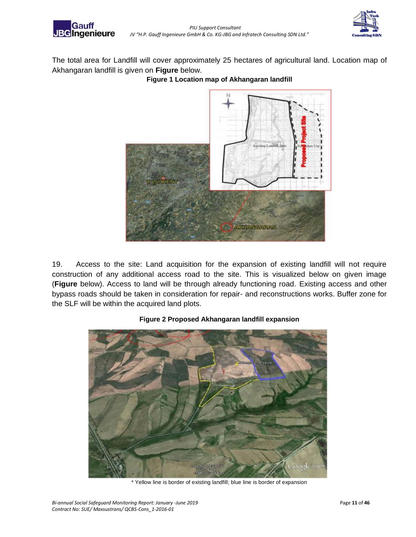

Gauff



The total area for Landfill will cover approximately 25 hectares of agricultural land. Location map of Akhangaran landfill is given on **Figure** below.

**Figure 1 Location map of Akhangaran landfill**



19. Access to the site: Land acquisition for the expansion of existing landfill will not require construction of any additional access road to the site. This is visualized below on given image (**Figure** below). Access to land will be through already functioning road. Existing access and other bypass roads should be taken in consideration for repair- and reconstructions works. Buffer zone for the SLF will be within the acquired land plots.



#### **Figure 2 Proposed Akhangaran landfill expansion**

\* Yellow line is border of existing landfill; blue line is border of expansion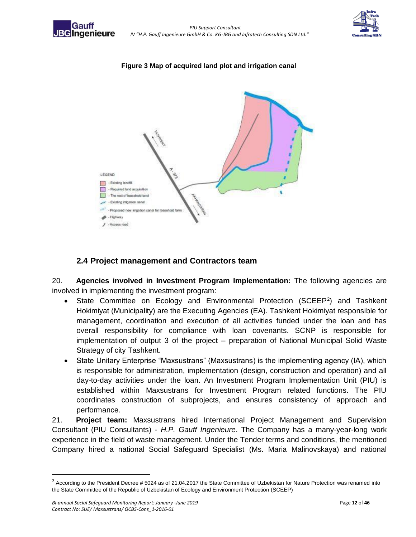



#### **Figure 3 Map of acquired land plot and irrigation canal**



#### **2.4 Project management and Contractors team**

<span id="page-11-0"></span>20. **Agencies involved in Investment Program Implementation:** The following agencies are involved in implementing the investment program:

- State Committee on Ecology and Environmental Protection (SCEEP<sup>2</sup>) and Tashkent Hokimiyat (Municipality) are the Executing Agencies (EA). Tashkent Hokimiyat responsible for management, coordination and execution of all activities funded under the loan and has overall responsibility for compliance with loan covenants. SCNP is responsible for implementation of output 3 of the project – preparation of National Municipal Solid Waste Strategy of city Tashkent.
- State Unitary Enterprise "Maxsustrans" (Maxsustrans) is the implementing agency (IA), which is responsible for administration, implementation (design, construction and operation) and all day-to-day activities under the loan. An Investment Program Implementation Unit (PIU) is established within Maxsustrans for Investment Program related functions. The PIU coordinates construction of subprojects, and ensures consistency of approach and performance.

21. **Project team:** Maxsustrans hired International Project Management and Supervision Consultant (PIU Consultants) - *H.P. Gauff Ingenieure*. The Company has a many-year-long work experience in the field of waste management. Under the Tender terms and conditions, the mentioned Company hired a national Social Safeguard Specialist (Ms. Maria Malinovskaya) and national

 $\overline{a}$ 

 $2$  According to the President Decree # 5024 as of 21.04.2017 the State Committee of Uzbekistan for Nature Protection was renamed into the State Committee of the Republic of Uzbekistan of Ecology and Environment Protection (SCEEP)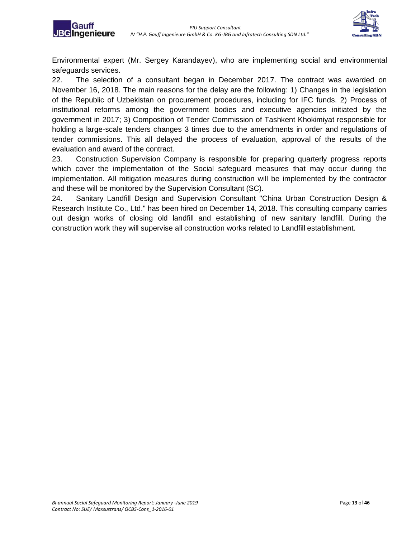Gaufi **JBG**Ingenieure



Environmental expert (Mr. Sergey Karandayev), who are implementing social and environmental safeguards services.

22. The selection of a consultant began in December 2017. The contract was awarded on November 16, 2018. The main reasons for the delay are the following: 1) Changes in the legislation of the Republic of Uzbekistan on procurement procedures, including for IFC funds. 2) Process of institutional reforms among the government bodies and executive agencies initiated by the government in 2017; 3) Composition of Tender Commission of Tashkent Khokimiyat responsible for holding a large-scale tenders changes 3 times due to the amendments in order and regulations of tender commissions. This all delayed the process of evaluation, approval of the results of the evaluation and award of the contract.

23. Construction Supervision Company is responsible for preparing quarterly progress reports which cover the implementation of the Social safeguard measures that may occur during the implementation. All mitigation measures during construction will be implemented by the contractor and these will be monitored by the Supervision Consultant (SC).

24. Sanitary Landfill Design and Supervision Consultant "China Urban Construction Design & Research Institute Co., Ltd." has been hired on December 14, 2018. This consulting company carries out design works of closing old landfill and establishing of new sanitary landfill. During the construction work they will supervise all construction works related to Landfill establishment.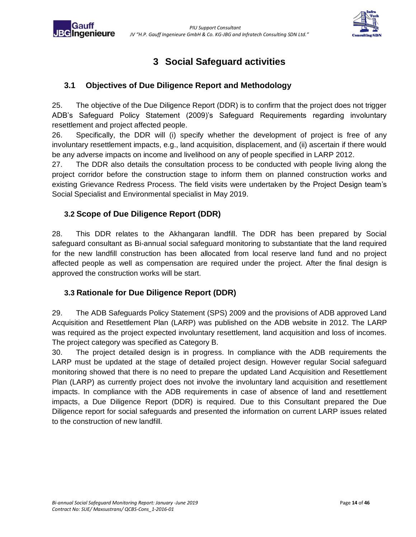

### **3 Social Safeguard activities**

### <span id="page-13-1"></span>**3.1 Objectives of Due Diligence Report and Methodology**

25. The objective of the Due Diligence Report (DDR) is to confirm that the project does not trigger ADB's Safeguard Policy Statement (2009)'s Safeguard Requirements regarding involuntary resettlement and project affected people.

26. Specifically, the DDR will (i) specify whether the development of project is free of any involuntary resettlement impacts, e.g., land acquisition, displacement, and (ii) ascertain if there would be any adverse impacts on income and livelihood on any of people specified in LARP 2012.

27. The DDR also details the consultation process to be conducted with people living along the project corridor before the construction stage to inform them on planned construction works and existing Grievance Redress Process. The field visits were undertaken by the Project Design team's Social Specialist and Environmental specialist in May 2019.

### <span id="page-13-2"></span>**3.2 Scope of Due Diligence Report (DDR)**

<span id="page-13-0"></span>**BG**Ingenieure

28. This DDR relates to the Akhangaran landfill. The DDR has been prepared by Social safeguard consultant as Bi-annual social safeguard monitoring to substantiate that the land required for the new landfill construction has been allocated from local reserve land fund and no project affected people as well as compensation are required under the project. After the final design is approved the construction works will be start.

### <span id="page-13-3"></span>**3.3 Rationale for Due Diligence Report (DDR)**

29. The ADB Safeguards Policy Statement (SPS) 2009 and the provisions of ADB approved Land Acquisition and Resettlement Plan (LARP) was published on the ADB website in 2012. The LARP was required as the project expected involuntary resettlement, land acquisition and loss of incomes. The project category was specified as Category B.

30. The project detailed design is in progress. In compliance with the ADB requirements the LARP must be updated at the stage of detailed project design. However regular Social safeguard monitoring showed that there is no need to prepare the updated Land Acquisition and Resettlement Plan (LARP) as currently project does not involve the involuntary land acquisition and resettlement impacts. In compliance with the ADB requirements in case of absence of land and resettlement impacts, a Due Diligence Report (DDR) is required. Due to this Consultant prepared the Due Diligence report for social safeguards and presented the information on current LARP issues related to the construction of new landfill.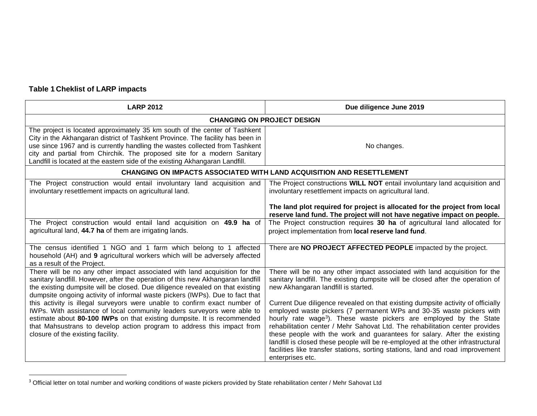### **Table 1 Cheklist of LARP impacts**

1

| <b>LARP 2012</b>                                                                                                                                                                                                                                                                                                                                                                                       | Due diligence June 2019                                                                                                                                                                                                                                                                                                                                                                                                                                                                                                                                                                         |  |  |  |  |
|--------------------------------------------------------------------------------------------------------------------------------------------------------------------------------------------------------------------------------------------------------------------------------------------------------------------------------------------------------------------------------------------------------|-------------------------------------------------------------------------------------------------------------------------------------------------------------------------------------------------------------------------------------------------------------------------------------------------------------------------------------------------------------------------------------------------------------------------------------------------------------------------------------------------------------------------------------------------------------------------------------------------|--|--|--|--|
| <b>CHANGING ON PROJECT DESIGN</b>                                                                                                                                                                                                                                                                                                                                                                      |                                                                                                                                                                                                                                                                                                                                                                                                                                                                                                                                                                                                 |  |  |  |  |
| The project is located approximately 35 km south of the center of Tashkent<br>City in the Akhangaran district of Tashkent Province. The facility has been in<br>use since 1967 and is currently handling the wastes collected from Tashkent<br>city and partial from Chirchik. The proposed site for a modern Sanitary<br>Landfill is located at the eastern side of the existing Akhangaran Landfill. | No changes.                                                                                                                                                                                                                                                                                                                                                                                                                                                                                                                                                                                     |  |  |  |  |
|                                                                                                                                                                                                                                                                                                                                                                                                        | CHANGING ON IMPACTS ASSOCIATED WITH LAND ACQUISITION AND RESETTLEMENT                                                                                                                                                                                                                                                                                                                                                                                                                                                                                                                           |  |  |  |  |
| The Project construction would entail involuntary land acquisition and<br>involuntary resettlement impacts on agricultural land.                                                                                                                                                                                                                                                                       | The Project constructions WILL NOT entail involuntary land acquisition and<br>involuntary resettlement impacts on agricultural land.                                                                                                                                                                                                                                                                                                                                                                                                                                                            |  |  |  |  |
|                                                                                                                                                                                                                                                                                                                                                                                                        | The land plot required for project is allocated for the project from local<br>reserve land fund. The project will not have negative impact on people.                                                                                                                                                                                                                                                                                                                                                                                                                                           |  |  |  |  |
| The Project construction would entail land acquisition on 49.9 ha of<br>agricultural land, 44.7 ha of them are irrigating lands.                                                                                                                                                                                                                                                                       | The Project construction requires 30 ha of agricultural land allocated for<br>project implementation from local reserve land fund.                                                                                                                                                                                                                                                                                                                                                                                                                                                              |  |  |  |  |
| The census identified 1 NGO and 1 farm which belong to 1 affected<br>household (AH) and 9 agricultural workers which will be adversely affected<br>as a result of the Project.                                                                                                                                                                                                                         | There are NO PROJECT AFFECTED PEOPLE impacted by the project.                                                                                                                                                                                                                                                                                                                                                                                                                                                                                                                                   |  |  |  |  |
| There will be no any other impact associated with land acquisition for the<br>sanitary landfill. However, after the operation of this new Akhangaran landfill<br>the existing dumpsite will be closed. Due diligence revealed on that existing<br>dumpsite ongoing activity of informal waste pickers (IWPs). Due to fact that                                                                         | There will be no any other impact associated with land acquisition for the<br>sanitary landfill. The existing dumpsite will be closed after the operation of<br>new Akhangaran landfill is started.                                                                                                                                                                                                                                                                                                                                                                                             |  |  |  |  |
| this activity is illegal surveyors were unable to confirm exact number of<br>IWPs. With assistance of local community leaders surveyors were able to<br>estimate about 80-100 IWPs on that existing dumpsite. It is recommended<br>that Mahsustrans to develop action program to address this impact from<br>closure of the existing facility.                                                         | Current Due diligence revealed on that existing dumpsite activity of officially<br>employed waste pickers (7 permanent WPs and 30-35 waste pickers with<br>hourly rate wage <sup>3</sup> ). These waste pickers are employed by the State<br>rehabilitation center / Mehr Sahovat Ltd. The rehabilitation center provides<br>these people with the work and guarantees for salary. After the existing<br>landfill is closed these people will be re-employed at the other infrastructural<br>facilities like transfer stations, sorting stations, land and road improvement<br>enterprises etc. |  |  |  |  |

 $3$  Official letter on total number and working conditions of waste pickers provided by State rehabilitation center / Mehr Sahovat Ltd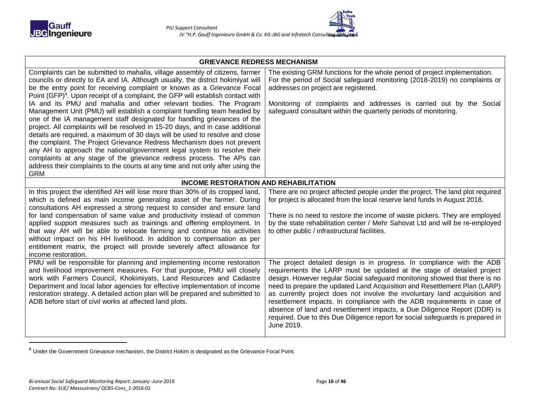

| 'ech                       |
|----------------------------|
| sult <b>ing SDN Jsta</b> n |

| <b>GRIEVANCE REDRESS MECHANISM</b>                                                                                                                                                                                                                                                                                                                                                                                                                                                                                                                                                                                                                                                                                                                                                                                                                                                                                                                                                                                                                                          |                                                                                                                                                                                                                                                                                                                                                                                                                                                                                                                                                                                                                                                      |  |  |  |
|-----------------------------------------------------------------------------------------------------------------------------------------------------------------------------------------------------------------------------------------------------------------------------------------------------------------------------------------------------------------------------------------------------------------------------------------------------------------------------------------------------------------------------------------------------------------------------------------------------------------------------------------------------------------------------------------------------------------------------------------------------------------------------------------------------------------------------------------------------------------------------------------------------------------------------------------------------------------------------------------------------------------------------------------------------------------------------|------------------------------------------------------------------------------------------------------------------------------------------------------------------------------------------------------------------------------------------------------------------------------------------------------------------------------------------------------------------------------------------------------------------------------------------------------------------------------------------------------------------------------------------------------------------------------------------------------------------------------------------------------|--|--|--|
| Complaints can be submitted to mahalla, village assembly of citizens, farmer<br>councils or directly to EA and IA. Although usually, the district hokimiyat will<br>be the entry point for receiving complaint or known as a Grievance Focal<br>Point (GFP) <sup>4</sup> . Upon receipt of a complaint, the GFP will establish contact with<br>IA and its PMU and mahalla and other relevant bodies. The Program<br>Management Unit (PMU) will establish a complaint handling team headed by<br>one of the IA management staff designated for handling grievances of the<br>project. All complaints will be resolved in 15-20 days, and in case additional<br>details are required, a maximum of 30 days will be used to resolve and close<br>the complaint. The Project Grievance Redress Mechanism does not prevent<br>any AH to approach the national/government legal system to resolve their<br>complaints at any stage of the grievance redress process. The APs can<br>address their complaints to the courts at any time and not only after using the<br><b>GRM</b> | The existing GRM functions for the whole period of project implementation.<br>For the period of Social safeguard monitoring (2018-2019) no complaints or<br>addresses on project are registered.<br>Monitoring of complaints and addresses is carried out by the Social<br>safeguard consultant within the quarterly periods of monitoring.                                                                                                                                                                                                                                                                                                          |  |  |  |
| <b>INCOME RESTORATION AND REHABILITATION</b>                                                                                                                                                                                                                                                                                                                                                                                                                                                                                                                                                                                                                                                                                                                                                                                                                                                                                                                                                                                                                                |                                                                                                                                                                                                                                                                                                                                                                                                                                                                                                                                                                                                                                                      |  |  |  |
| In this project the identified AH will lose more than 30% of its cropped land,<br>which is defined as main income generating asset of the farmer. During<br>consultations AH expressed a strong request to consider and ensure land<br>for land compensation of same value and productivity instead of common<br>applied support measures such as trainings and offering employment. In<br>that way AH will be able to relocate farming and continue his activities<br>without impact on his HH livelihood. In addition to compensation as per<br>entitlement matrix, the project will provide severely affect allowance for<br>income restoration.                                                                                                                                                                                                                                                                                                                                                                                                                         | There are no project affected people under the project. The land plot required<br>for project is allocated from the local reserve land funds in August 2018.<br>There is no need to restore the income of waste pickers. They are employed<br>by the state rehabilitation center / Mehr Sahovat Ltd and will be re-employed<br>to other public / infrastructural facilities.                                                                                                                                                                                                                                                                         |  |  |  |
| PMU will be responsible for planning and implementing income restoration<br>and livelihood improvement measures. For that purpose, PMU will closely<br>work with Farmers Council, Khokimiyats, Land Resources and Cadastre<br>Department and local labor agencies for effective implementation of income<br>restoration strategy. A detailed action plan will be prepared and submitted to<br>ADB before start of civil works at affected land plots.                                                                                                                                                                                                                                                                                                                                                                                                                                                                                                                                                                                                                       | The project detailed design is in progress. In compliance with the ADB<br>requirements the LARP must be updated at the stage of detailed project<br>design. However regular Social safeguard monitoring showed that there is no<br>need to prepare the updated Land Acquisition and Resettlement Plan (LARP)<br>as currently project does not involve the involuntary land acquisition and<br>resettlement impacts. In compliance with the ADB requirements in case of<br>absence of land and resettlement impacts, a Due Diligence Report (DDR) is<br>required. Due to this Due Diligence report for social safeguards is prepared in<br>June 2019. |  |  |  |

 $<sup>4</sup>$  Under the Government Grievance mechanism, the District Hokim is designated as the Grievance Focal Point.</sup>

1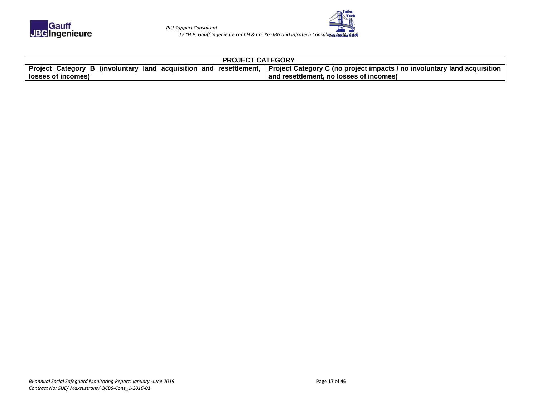

| <b>PROJECT CATEGORY</b> |                                                                                                                                                          |  |  |  |  |
|-------------------------|----------------------------------------------------------------------------------------------------------------------------------------------------------|--|--|--|--|
|                         | │ Project  Category  B  (involuntary  land  acquisition  and  resettlement, │ Project Category C (no project impacts / no involuntary land acquisition │ |  |  |  |  |
|                         | Iosses of incomes)<br>and resettlement, no losses of incomes)                                                                                            |  |  |  |  |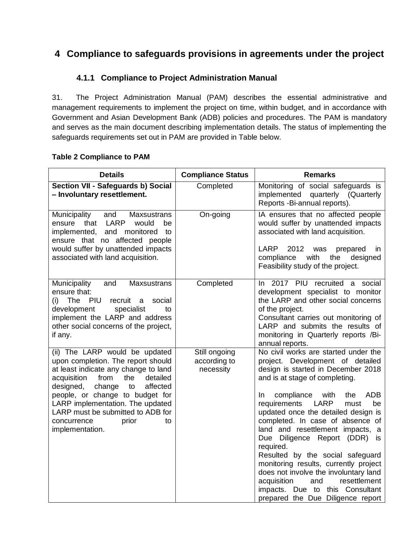### <span id="page-17-0"></span>**4 Compliance to safeguards provisions in agreements under the project**

### **4.1.1 Compliance to Project Administration Manual**

<span id="page-17-1"></span>31. The Project Administration Manual (PAM) describes the essential administrative and management requirements to implement the project on time, within budget, and in accordance with Government and Asian Development Bank (ADB) policies and procedures. The PAM is mandatory and serves as the main document describing implementation details. The status of implementing the safeguards requirements set out in PAM are provided in Table below.

#### **Table 2 Compliance to PAM**

| <b>Details</b>                                                                                                                                                                                                                                                                                                                                               | <b>Compliance Status</b>                   | <b>Remarks</b>                                                                                                                                                                                                                                                                                                                                                                                                                                                                                                                                                                                                                                         |
|--------------------------------------------------------------------------------------------------------------------------------------------------------------------------------------------------------------------------------------------------------------------------------------------------------------------------------------------------------------|--------------------------------------------|--------------------------------------------------------------------------------------------------------------------------------------------------------------------------------------------------------------------------------------------------------------------------------------------------------------------------------------------------------------------------------------------------------------------------------------------------------------------------------------------------------------------------------------------------------------------------------------------------------------------------------------------------------|
| Section VII - Safeguards b) Social<br>- Involuntary resettlement.                                                                                                                                                                                                                                                                                            | Completed                                  | Monitoring of social safeguards is<br>implemented quarterly (Quarterly<br>Reports -Bi-annual reports).                                                                                                                                                                                                                                                                                                                                                                                                                                                                                                                                                 |
| Municipality<br><b>Maxsustrans</b><br>and<br>LARP<br>that<br>would<br>ensure<br>be<br>implemented,<br>and<br>monitored<br>to<br>ensure that no affected people<br>would suffer by unattended impacts<br>associated with land acquisition.                                                                                                                    | On-going                                   | IA ensures that no affected people<br>would suffer by unattended impacts<br>associated with land acquisition.<br><b>LARP</b><br>2012<br>was<br>prepared<br><i>in</i><br>with<br>the<br>compliance<br>designed<br>Feasibility study of the project.                                                                                                                                                                                                                                                                                                                                                                                                     |
| Municipality<br>and<br><b>Maxsustrans</b><br>ensure that:<br>(i) The PIU<br>recruit<br>social<br>a<br>development<br>specialist<br>to<br>implement the LARP and address<br>other social concerns of the project,<br>if any.                                                                                                                                  | Completed                                  | 2017 PIU recruited a social<br>In.<br>development specialist to monitor<br>the LARP and other social concerns<br>of the project.<br>Consultant carries out monitoring of<br>LARP and submits the results of<br>monitoring in Quarterly reports /Bi-<br>annual reports.                                                                                                                                                                                                                                                                                                                                                                                 |
| (ii) The LARP would be updated<br>upon completion. The report should<br>at least indicate any change to land<br>acquisition<br>the<br>detailed<br>from<br>affected<br>designed,<br>change<br>to<br>people, or change to budget for<br>LARP implementation. The updated<br>LARP must be submitted to ADB for<br>concurrence<br>prior<br>to<br>implementation. | Still ongoing<br>according to<br>necessity | No civil works are started under the<br>project. Development of detailed<br>design is started in December 2018<br>and is at stage of completing.<br><b>ADB</b><br>compliance<br>with<br>In.<br>the<br>requirements<br>LARP<br>must<br>be<br>updated once the detailed design is<br>completed. In case of absence of<br>land and resettlement impacts, a<br>Diligence Report (DDR)<br>Due<br><b>is</b><br>required.<br>Resulted by the social safeguard<br>monitoring results, currently project<br>does not involve the involuntary land<br>acquisition<br>and<br>resettlement<br>impacts. Due to this Consultant<br>prepared the Due Diligence report |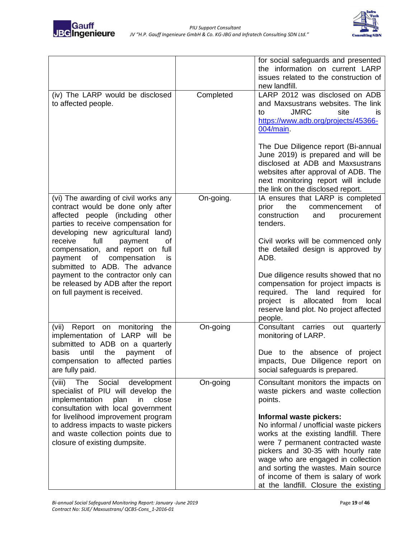



|                                                                                                                                                                                           |           | for social safeguards and presented<br>the information on current LARP<br>issues related to the construction of<br>new landfill.                                                                                                                                                                                                                   |
|-------------------------------------------------------------------------------------------------------------------------------------------------------------------------------------------|-----------|----------------------------------------------------------------------------------------------------------------------------------------------------------------------------------------------------------------------------------------------------------------------------------------------------------------------------------------------------|
| (iv) The LARP would be disclosed<br>to affected people.                                                                                                                                   | Completed | LARP 2012 was disclosed on ADB<br>and Maxsustrans websites. The link<br><b>JMRC</b><br>site<br>to<br>IS.<br>https://www.adb.org/projects/45366-<br>$004/main$ .<br>The Due Diligence report (Bi-annual<br>June 2019) is prepared and will be<br>disclosed at ADB and Maxsustrans                                                                   |
|                                                                                                                                                                                           |           | websites after approval of ADB. The<br>next monitoring report will include<br>the link on the disclosed report.                                                                                                                                                                                                                                    |
| (vi) The awarding of civil works any<br>contract would be done only after<br>affected people (including other<br>parties to receive compensation for<br>developing new agricultural land) | On-going. | IA ensures that LARP is completed<br>prior<br>the<br>commencement<br>ot<br>construction<br>and<br>procurement<br>tenders.                                                                                                                                                                                                                          |
| receive<br>full<br>of<br>payment<br>compensation, and report on full<br>οf<br>compensation<br>payment<br>is<br>submitted to ADB. The advance                                              |           | Civil works will be commenced only<br>the detailed design is approved by<br>ADB.                                                                                                                                                                                                                                                                   |
| payment to the contractor only can<br>be released by ADB after the report<br>on full payment is received.                                                                                 |           | Due diligence results showed that no<br>compensation for project impacts is<br>required. The land required<br>for<br>allocated<br>project<br>from<br>local<br>is<br>reserve land plot. No project affected<br>people.                                                                                                                              |
| Report on<br>monitoring<br>(vii)<br>the<br>implementation of LARP will be<br>submitted to ADB on a quarterly                                                                              | On-going  | Consultant<br>quarterly<br>carries<br>out<br>monitoring of LARP.                                                                                                                                                                                                                                                                                   |
| basis<br>until<br>the<br>payment<br>οf<br>compensation to affected parties<br>are fully paid.                                                                                             |           | Due to the absence<br>of project<br>impacts, Due Diligence report on<br>social safeguards is prepared.                                                                                                                                                                                                                                             |
| (viii)<br>Social<br>The<br>development<br>specialist of PIU will develop the<br>implementation<br>in<br>close<br>plan<br>consultation with local government                               | On-going  | Consultant monitors the impacts on<br>waste pickers and waste collection<br>points.                                                                                                                                                                                                                                                                |
| for livelihood improvement program<br>to address impacts to waste pickers<br>and waste collection points due to<br>closure of existing dumpsite.                                          |           | Informal waste pickers:<br>No informal / unofficial waste pickers<br>works at the existing landfill. There<br>were 7 permanent contracted waste<br>pickers and 30-35 with hourly rate<br>wage who are engaged in collection<br>and sorting the wastes. Main source<br>of income of them is salary of work<br>at the landfill. Closure the existing |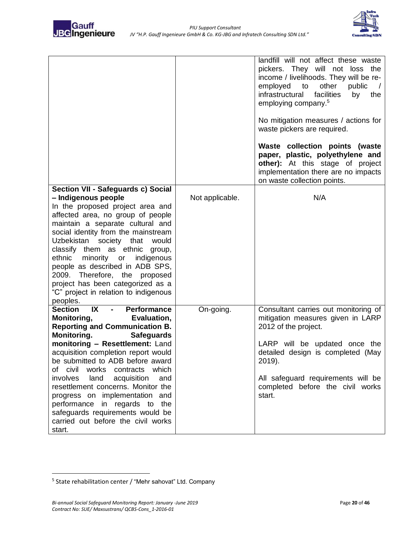



|                                                                                                                                                                                                                                                                                                                                                                                                                                                                                                                                                       |                 | landfill will not affect these waste<br>pickers. They will not loss the<br>income / livelihoods. They will be re-<br>other<br>employed to<br>public<br>facilities<br>infrastructural<br>by<br>the<br>employing company. <sup>5</sup><br>No mitigation measures / actions for<br>waste pickers are required.<br>Waste collection points (waste<br>paper, plastic, polyethylene and<br>other): At this stage of project<br>implementation there are no impacts<br>on waste collection points. |
|-------------------------------------------------------------------------------------------------------------------------------------------------------------------------------------------------------------------------------------------------------------------------------------------------------------------------------------------------------------------------------------------------------------------------------------------------------------------------------------------------------------------------------------------------------|-----------------|---------------------------------------------------------------------------------------------------------------------------------------------------------------------------------------------------------------------------------------------------------------------------------------------------------------------------------------------------------------------------------------------------------------------------------------------------------------------------------------------|
| Section VII - Safeguards c) Social<br>- Indigenous people<br>In the proposed project area and<br>affected area, no group of people<br>maintain a separate cultural and<br>social identity from the mainstream<br>Uzbekistan<br>society that<br>would<br>classify them as ethnic<br>group,<br>ethnic<br>minority or<br>indigenous<br>people as described in ADB SPS,<br>Therefore, the<br>2009.<br>proposed<br>project has been categorized as a<br>"C" project in relation to indigenous<br>peoples.                                                  | Not applicable. | N/A                                                                                                                                                                                                                                                                                                                                                                                                                                                                                         |
| IX<br><b>Section</b><br><b>Performance</b><br>Monitoring,<br>Evaluation,<br><b>Reporting and Communication B.</b><br>Monitoring.<br><b>Safeguards</b><br>monitoring - Resettlement: Land<br>acquisition completion report would<br>be submitted to ADB before award<br>of civil<br>works<br>which<br>contracts<br>involves<br>land<br>acquisition<br>and<br>resettlement concerns. Monitor the<br>progress on implementation and<br>performance in regards to the<br>safeguards requirements would be<br>carried out before the civil works<br>start. | On-going.       | Consultant carries out monitoring of<br>mitigation measures given in LARP<br>2012 of the project.<br>LARP will be updated once the<br>detailed design is completed (May<br>2019).<br>All safeguard requirements will be<br>completed before the civil works<br>start.                                                                                                                                                                                                                       |

 $\overline{a}$ 

<sup>&</sup>lt;sup>5</sup> State rehabilitation center / "Mehr sahovat" Ltd. Company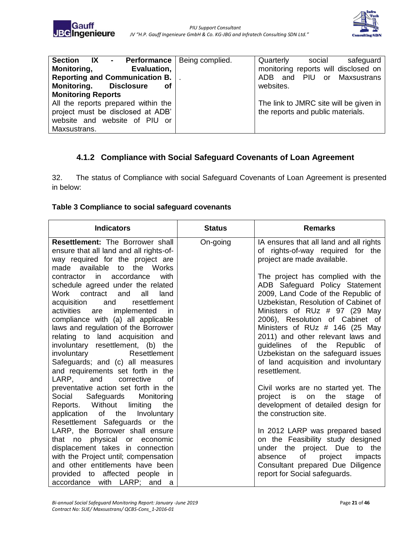

| <b>Section IX - Performance Being complied.</b> | Quarterly social<br>safeguard          |
|-------------------------------------------------|----------------------------------------|
| <b>Evaluation,</b><br><b>Monitoring,</b>        | monitoring reports will disclosed on   |
| Reporting and Communication B.                  | ADB and PIU or Maxsustrans             |
| <b>Monitoring. Disclosure</b><br>оf             | websites.                              |
| <b>Monitoring Reports</b>                       |                                        |
| All the reports prepared within the             | The link to JMRC site will be given in |
| project must be disclosed at ADB'               | the reports and public materials.      |
| website and website of PIU or                   |                                        |
| Maxsustrans.                                    |                                        |

### <span id="page-20-0"></span>**4.1.2 Compliance with Social Safeguard Covenants of Loan Agreement**

32. The status of Compliance with social Safeguard Covenants of Loan Agreement is presented in below:

#### **Table 3 Compliance to social safeguard covenants**

| <b>Indicators</b>                                                        | <b>Status</b> | <b>Remarks</b>                                               |
|--------------------------------------------------------------------------|---------------|--------------------------------------------------------------|
| <b>Resettlement: The Borrower shall</b>                                  | On-going      | IA ensures that all land and all rights                      |
| ensure that all land and all rights-of-                                  |               | of rights-of-way required for the                            |
| way required for the project are                                         |               | project are made available.                                  |
| to the Works<br>made available                                           |               |                                                              |
| contractor in accordance<br>with                                         |               | The project has complied with the                            |
| schedule agreed under the related                                        |               | ADB Safeguard Policy Statement                               |
| Work contract and<br>all<br>land                                         |               | 2009, Land Code of the Republic of                           |
| acquisition<br>resettlement<br>and                                       |               | Uzbekistan, Resolution of Cabinet of                         |
| activities<br>implemented<br>are<br>in                                   |               | Ministers of RUz # 97 (29 May                                |
| compliance with (a) all applicable                                       |               | 2006), Resolution of Cabinet of                              |
| laws and regulation of the Borrower                                      |               | Ministers of RUz # 146 (25 May                               |
| relating to land acquisition and                                         |               | 2011) and other relevant laws and                            |
| involuntary resettlement, (b) the                                        |               | guidelines of the Republic<br>of.                            |
| involuntary<br>Resettlement                                              |               | Uzbekistan on the safeguard issues                           |
| Safeguards; and (c) all measures                                         |               | of land acquisition and involuntary                          |
| and requirements set forth in the                                        |               | resettlement.                                                |
| LARP, and<br>corrective<br>0f                                            |               |                                                              |
| preventative action set forth in the                                     |               | Civil works are no started yet. The<br>the                   |
| Social Safeguards<br>Monitoring                                          |               | project is on<br>stage<br>0f                                 |
| Reports. Without<br>limiting<br>the<br>application of the<br>Involuntary |               | development of detailed design for<br>the construction site. |
| Resettlement Safeguards or the                                           |               |                                                              |
| LARP, the Borrower shall ensure                                          |               | In 2012 LARP was prepared based                              |
| that no physical or economic                                             |               | on the Feasibility study designed                            |
| displacement takes in connection                                         |               | under the project. Due to the                                |
| with the Project until; compensation                                     |               | of<br>absence<br>project<br>impacts                          |
| and other entitlements have been                                         |               | Consultant prepared Due Diligence                            |
| provided to affected people<br>in.                                       |               | report for Social safeguards.                                |
| accordance with LARP; and<br>a                                           |               |                                                              |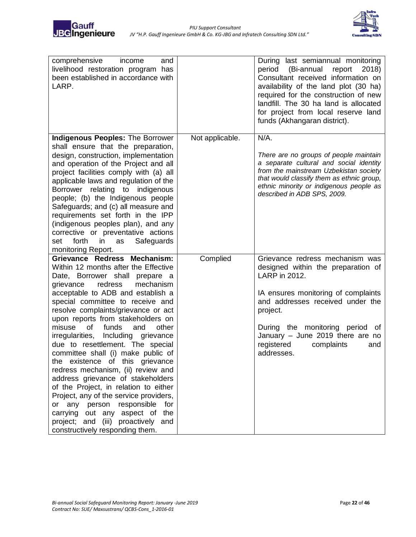

| comprehensive<br>and<br>income<br>livelihood restoration program has<br>been established in accordance with<br>LARP.                                                                                                                                                                                                                                                                                                                                                                                                                                                                                                                                                                                                                                                                                                   |                 | During last semiannual monitoring<br>period<br>(Bi-annual<br>report<br>2018)<br>Consultant received information on<br>availability of the land plot (30 ha)<br>required for the construction of new<br>landfill. The 30 ha land is allocated<br>for project from local reserve land<br>funds (Akhangaran district). |
|------------------------------------------------------------------------------------------------------------------------------------------------------------------------------------------------------------------------------------------------------------------------------------------------------------------------------------------------------------------------------------------------------------------------------------------------------------------------------------------------------------------------------------------------------------------------------------------------------------------------------------------------------------------------------------------------------------------------------------------------------------------------------------------------------------------------|-----------------|---------------------------------------------------------------------------------------------------------------------------------------------------------------------------------------------------------------------------------------------------------------------------------------------------------------------|
| <b>Indigenous Peoples: The Borrower</b><br>shall ensure that the preparation,<br>design, construction, implementation<br>and operation of the Project and all<br>project facilities comply with (a) all<br>applicable laws and regulation of the<br>Borrower relating to indigenous<br>people; (b) the Indigenous people<br>Safeguards; and (c) all measure and<br>requirements set forth in the IPP<br>(indigenous peoples plan), and any<br>corrective or preventative actions<br>Safeguards<br>forth<br>in<br>set<br>as<br>monitoring Report.                                                                                                                                                                                                                                                                       | Not applicable. | $N/A$ .<br>There are no groups of people maintain<br>a separate cultural and social identity<br>from the mainstream Uzbekistan society<br>that would classify them as ethnic group,<br>ethnic minority or indigenous people as<br>described in ADB SPS, 2009.                                                       |
| Grievance Redress Mechanism:<br>Within 12 months after the Effective<br>Date, Borrower shall<br>prepare a<br>mechanism<br>grievance<br>redress<br>acceptable to ADB and establish a<br>special committee to receive and<br>resolve complaints/grievance or act<br>upon reports from stakeholders on<br>misuse<br>of<br>funds<br>and<br>other<br>irregularities, Including grievance<br>due to resettlement. The special<br>committee shall (i) make public of<br>the existence of this grievance<br>redress mechanism, (ii) review and<br>address grievance of stakeholders<br>of the Project, in relation to either<br>Project, any of the service providers,<br>responsible<br>or any person<br>for<br>carrying out any aspect of<br>the<br>project; and (iii) proactively<br>and<br>constructively responding them. | Complied        | Grievance redress mechanism was<br>designed within the preparation of<br>LARP in 2012.<br>IA ensures monitoring of complaints<br>and addresses received under the<br>project.<br>During the monitoring period of<br>January - June 2019 there are no<br>registered<br>complaints<br>and<br>addresses.               |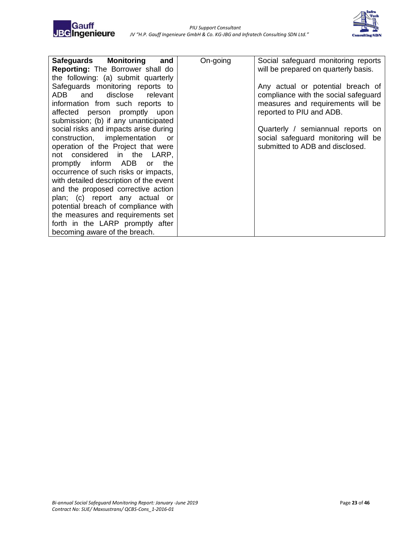

| Safeguards Monitoring and              | On-going | Social safeguard monitoring reports  |
|----------------------------------------|----------|--------------------------------------|
| Reporting: The Borrower shall do       |          | will be prepared on quarterly basis. |
| the following: (a) submit quarterly    |          |                                      |
| Safeguards monitoring reports to       |          | Any actual or potential breach of    |
| and disclose<br>relevant<br>ADB.       |          | compliance with the social safeguard |
| information from such reports to       |          | measures and requirements will be    |
| affected person promptly upon          |          | reported to PIU and ADB.             |
| submission; (b) if any unanticipated   |          |                                      |
| social risks and impacts arise during  |          | Quarterly / semiannual reports on    |
| construction, implementation<br>or o   |          | social safeguard monitoring will be  |
| operation of the Project that were     |          | submitted to ADB and disclosed.      |
| not considered in the LARP,            |          |                                      |
| promptly inform ADB or the             |          |                                      |
| occurrence of such risks or impacts,   |          |                                      |
| with detailed description of the event |          |                                      |
| and the proposed corrective action     |          |                                      |
| plan; (c) report any actual or         |          |                                      |
| potential breach of compliance with    |          |                                      |
| the measures and requirements set      |          |                                      |
| forth in the LARP promptly after       |          |                                      |
| becoming aware of the breach.          |          |                                      |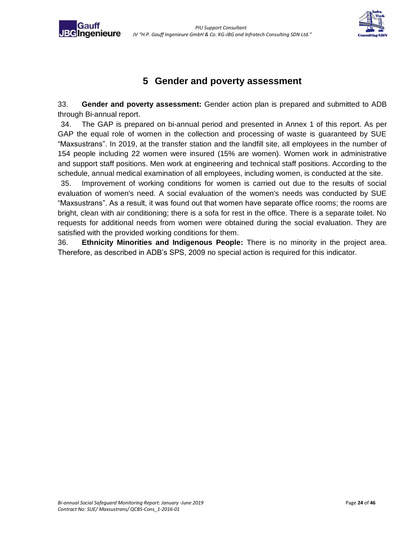**JBC**Ingenieure



### **5 Gender and poverty assessment**

<span id="page-23-0"></span>33. **Gender and poverty assessment:** Gender action plan is prepared and submitted to ADB through Bi-annual report.

34. The GAP is prepared on bi-annual period and presented in Annex 1 of this report. As per GAP the equal role of women in the collection and processing of waste is guaranteed by SUE "Maxsustrans". In 2019, at the transfer station and the landfill site, all employees in the number of 154 people including 22 women were insured (15% are women). Women work in administrative and support staff positions. Men work at engineering and technical staff positions. According to the schedule, annual medical examination of all employees, including women, is conducted at the site.

35. Improvement of working conditions for women is carried out due to the results of social evaluation of women's need. A social evaluation of the women's needs was conducted by SUE "Maxsustrans". As a result, it was found out that women have separate office rooms; the rooms are bright, clean with air conditioning; there is a sofa for rest in the office. There is a separate toilet. No requests for additional needs from women were obtained during the social evaluation. They are satisfied with the provided working conditions for them.

36. **Ethnicity Minorities and Indigenous People:** There is no minority in the project area. Therefore, as described in ADB's SPS, 2009 no special action is required for this indicator.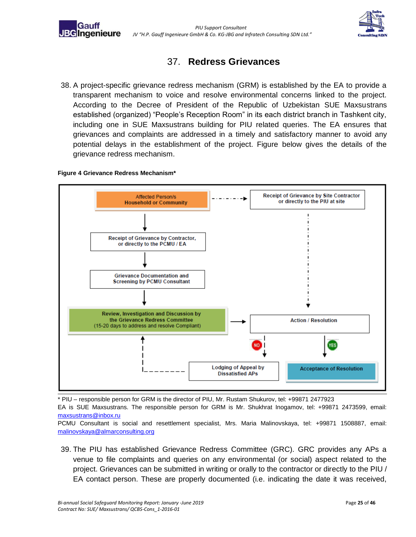



### 37. **Redress Grievances**

38. A project-specific grievance redress mechanism (GRM) is established by the EA to provide a transparent mechanism to voice and resolve environmental concerns linked to the project. According to the Decree of President of the Republic of Uzbekistan SUE Maxsustrans established (organized) "People's Reception Room" in its each district branch in Tashkent city, including one in SUE Maxsustrans building for PIU related queries. The EA ensures that grievances and complaints are addressed in a timely and satisfactory manner to avoid any potential delays in the establishment of the project. Figure below gives the details of the grievance redress mechanism.

#### **Figure 4 Grievance Redress Mechanism\***



\* PIU – responsible person for GRM is the director of PIU, Mr. Rustam Shukurov, tel: +99871 2477923

EA is SUE Maxsustrans. The responsible person for GRM is Mr. Shukhrat Inogamov, tel: +99871 2473599, email: [maxsustrans@inbox.ru](mailto:maxsustrans@inbox.ru)

PCMU Consultant is social and resettlement specialist, Mrs. Maria Malinovskaya, tel: +99871 1508887, email: [malinovskaya@almarconsulting.org](mailto:malinovskaya@almarconsulting.org)

39. The PIU has established Grievance Redress Committee (GRC). GRC provides any APs a venue to file complaints and queries on any environmental (or social) aspect related to the project. Grievances can be submitted in writing or orally to the contractor or directly to the PIU / EA contact person. These are properly documented (i.e. indicating the date it was received,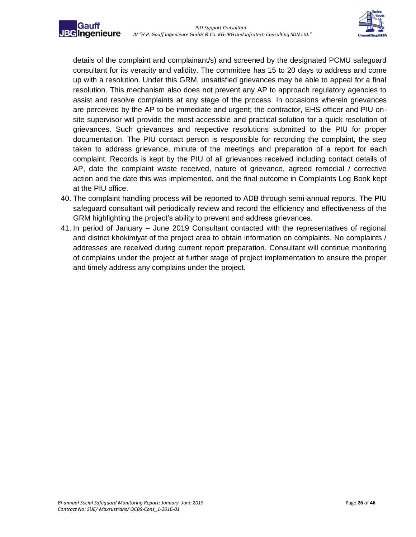

details of the complaint and complainant/s) and screened by the designated PCMU safeguard consultant for its veracity and validity. The committee has 15 to 20 days to address and come up with a resolution. Under this GRM, unsatisfied grievances may be able to appeal for a final resolution. This mechanism also does not prevent any AP to approach regulatory agencies to assist and resolve complaints at any stage of the process. In occasions wherein grievances are perceived by the AP to be immediate and urgent; the contractor, EHS officer and PIU onsite supervisor will provide the most accessible and practical solution for a quick resolution of grievances. Such grievances and respective resolutions submitted to the PIU for proper documentation. The PIU contact person is responsible for recording the complaint, the step taken to address grievance, minute of the meetings and preparation of a report for each complaint. Records is kept by the PIU of all grievances received including contact details of AP, date the complaint waste received, nature of grievance, agreed remedial / corrective action and the date this was implemented, and the final outcome in Complaints Log Book kept at the PIU office.

- 40. The complaint handling process will be reported to ADB through semi-annual reports. The PIU safeguard consultant will periodically review and record the efficiency and effectiveness of the GRM highlighting the project's ability to prevent and address grievances.
- 41. In period of January June 2019 Consultant contacted with the representatives of regional and district khokimiyat of the project area to obtain information on complaints. No complaints / addresses are received during current report preparation. Consultant will continue monitoring of complains under the project at further stage of project implementation to ensure the proper and timely address any complains under the project.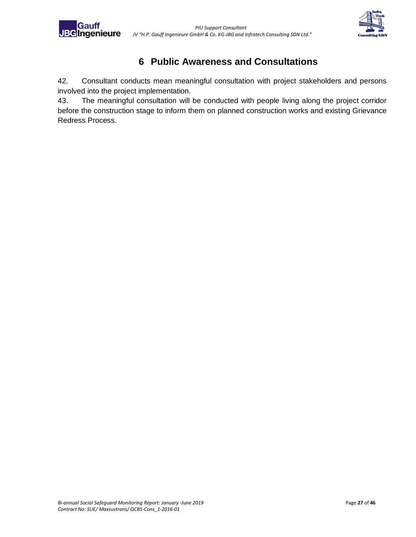



### **6 Public Awareness and Consultations**

<span id="page-26-0"></span>42. Consultant conducts mean meaningful consultation with project stakeholders and persons involved into the project implementation.

43. The meaningful consultation will be conducted with people living along the project corridor before the construction stage to inform them on planned construction works and existing Grievance Redress Process.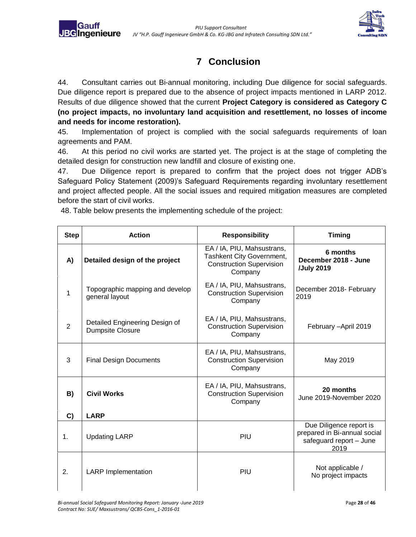

## **7 Conclusion**

<span id="page-27-0"></span>44. Consultant carries out Bi-annual monitoring, including Due diligence for social safeguards. Due diligence report is prepared due to the absence of project impacts mentioned in LARP 2012. Results of due diligence showed that the current **Project Category is considered as Category C (no project impacts, no involuntary land acquisition and resettlement, no losses of income and needs for income restoration).** 

45. Implementation of project is complied with the social safeguards requirements of loan agreements and PAM.

46. At this period no civil works are started yet. The project is at the stage of completing the detailed design for construction new landfill and closure of existing one.

47. Due Diligence report is prepared to confirm that the project does not trigger ADB's Safeguard Policy Statement (2009)'s Safeguard Requirements regarding involuntary resettlement and project affected people. All the social issues and required mitigation measures are completed before the start of civil works.

48. Table below presents the implementing schedule of the project:

**JBG**Ingenieure

| <b>Step</b>   | <b>Action</b>                                             | <b>Responsibility</b>                                                                                 | <b>Timing</b>                                                                              |  |  |  |
|---------------|-----------------------------------------------------------|-------------------------------------------------------------------------------------------------------|--------------------------------------------------------------------------------------------|--|--|--|
| A)            | Detailed design of the project                            | EA / IA, PIU, Mahsustrans,<br>Tashkent City Government,<br><b>Construction Supervision</b><br>Company | 6 months<br>December 2018 - June<br>/July 2019                                             |  |  |  |
| 1             | Topographic mapping and develop<br>general layout         | EA / IA, PIU, Mahsustrans,<br><b>Construction Supervision</b><br>Company                              | December 2018- February<br>2019                                                            |  |  |  |
| 2             | Detailed Engineering Design of<br><b>Dumpsite Closure</b> | EA / IA, PIU, Mahsustrans,<br><b>Construction Supervision</b><br>Company                              | February - April 2019                                                                      |  |  |  |
| 3             | <b>Final Design Documents</b>                             | EA / IA, PIU, Mahsustrans,<br><b>Construction Supervision</b><br>Company                              | May 2019                                                                                   |  |  |  |
| B)            | <b>Civil Works</b>                                        | EA / IA, PIU, Mahsustrans,<br><b>Construction Supervision</b><br>Company                              | 20 months<br>June 2019-November 2020                                                       |  |  |  |
| C)            | <b>LARP</b>                                               |                                                                                                       |                                                                                            |  |  |  |
| $\mathbf 1$ . | <b>Updating LARP</b>                                      | PIU                                                                                                   | Due Diligence report is<br>prepared in Bi-annual social<br>safeguard report - June<br>2019 |  |  |  |
| 2.            | <b>LARP</b> Implementation                                | PIU                                                                                                   | Not applicable /<br>No project impacts                                                     |  |  |  |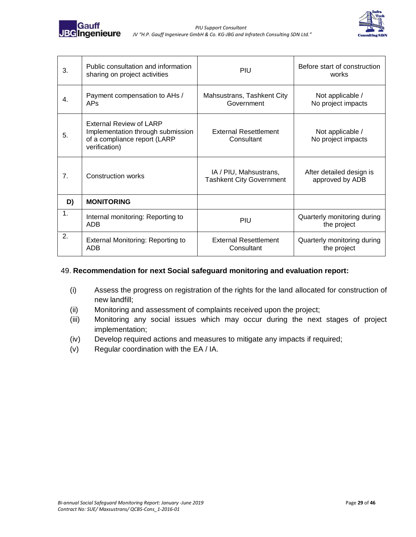



| 3.             | Public consultation and information<br>sharing on project activities                                                 | PIU                                                       | Before start of construction<br>works       |  |  |
|----------------|----------------------------------------------------------------------------------------------------------------------|-----------------------------------------------------------|---------------------------------------------|--|--|
| 4.             | Payment compensation to AHs /<br><b>APs</b>                                                                          | Mahsustrans, Tashkent City<br>Government                  | Not applicable /<br>No project impacts      |  |  |
| 5.             | <b>External Review of LARP</b><br>Implementation through submission<br>of a compliance report (LARP<br>verification) | External Resettlement<br>Consultant                       | Not applicable /<br>No project impacts      |  |  |
| 7.             | <b>Construction works</b>                                                                                            | IA / PIU, Mahsustrans,<br><b>Tashkent City Government</b> | After detailed design is<br>approved by ADB |  |  |
| D)             | <b>MONITORING</b>                                                                                                    |                                                           |                                             |  |  |
| $\mathbf{1}$ . | Internal monitoring: Reporting to<br><b>ADB</b>                                                                      | PIU                                                       | Quarterly monitoring during<br>the project  |  |  |
| 2.             | External Monitoring: Reporting to<br>ADB                                                                             | <b>External Resettlement</b><br>Consultant                | Quarterly monitoring during<br>the project  |  |  |

#### 49. **Recommendation for next Social safeguard monitoring and evaluation report:**

- (i) Assess the progress on registration of the rights for the land allocated for construction of new landfill;
- (ii) Monitoring and assessment of complaints received upon the project;
- (iii) Monitoring any social issues which may occur during the next stages of project implementation;
- (iv) Develop required actions and measures to mitigate any impacts if required;
- (v) Regular coordination with the EA / IA.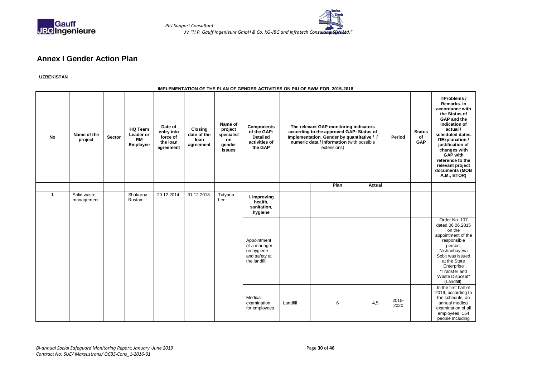

 *PIU Support Consultant JV "H.P. Gauff Ingenieure GmbH & Co. KG-JBG and Infratech Consulting SDN Ltd."*

#### **Annex I Gender Action Plan**

#### **UZBEKISTAN**

#### **IMPLEMENTATION OF THE PLAN OF GENDER ACTIVITIES ON PIU OF SWM FOR 2015-2018**

<span id="page-29-0"></span>

| <b>No</b>               | Name of the<br>project    | Sector | <b>HQ Team</b><br>Leader or<br><b>RM</b><br>Employee | Date of<br>entry into<br>force of<br>the loan<br>agreement | <b>Closing</b><br>date of the<br>loan<br>agreement | Name of<br>project<br>specialist<br>on<br>gender<br>issues | <b>Components</b><br>of the GAP:<br><b>Detailed</b><br>activities of<br>the GAP                                                  |          | The relevant GAP monitoring indicators<br>according to the approved GAP: Status of<br>Implementation. Gender by quantitative / /<br>numeric data / information (with possible<br>extensions) |        | Period           | <b>Status</b><br>of<br>GAP | <b>NProblems /</b><br>Remarks, In<br>accordance with<br>the Status of<br>GAP and the<br>indication of<br>actual/<br>scheduled dates.<br><b>NExplanation /</b><br>justification of<br>changes with<br><b>GAP</b> with<br>reference to the<br>relevant project<br>documents (MOB<br>A.M., BTOR) |
|-------------------------|---------------------------|--------|------------------------------------------------------|------------------------------------------------------------|----------------------------------------------------|------------------------------------------------------------|----------------------------------------------------------------------------------------------------------------------------------|----------|----------------------------------------------------------------------------------------------------------------------------------------------------------------------------------------------|--------|------------------|----------------------------|-----------------------------------------------------------------------------------------------------------------------------------------------------------------------------------------------------------------------------------------------------------------------------------------------|
|                         |                           |        |                                                      |                                                            |                                                    |                                                            |                                                                                                                                  |          | Plan                                                                                                                                                                                         | Actual |                  |                            |                                                                                                                                                                                                                                                                                               |
| $\overline{\mathbf{1}}$ | Solid waste<br>management |        | Shukurov<br>Rustam                                   | 29.12.2014                                                 | 31.12.2018                                         | Tatyana<br>Lee                                             | I. Improving<br>health,<br>sanitation,<br>hygiene<br>Appointment<br>of a manager<br>on hygiene<br>and safety at<br>the landfill. |          |                                                                                                                                                                                              |        |                  |                            | Order No. 107<br>dated 06.06.2015<br>on the<br>appointment of the<br>responsible<br>person,<br>Nishanbayeva<br>Sobit was issued<br>at the State<br>Enterprise<br>"Transfer and<br>Waste Disposal"<br>(Landfill).                                                                              |
|                         |                           |        |                                                      |                                                            |                                                    |                                                            | Medical<br>examination<br>for employees                                                                                          | Landfill | 6                                                                                                                                                                                            | 4,5    | $2015 -$<br>2020 |                            | In the first half of<br>2019, according to<br>the schedule, an<br>annual medical<br>examination of all<br>employees, 154<br>people Including                                                                                                                                                  |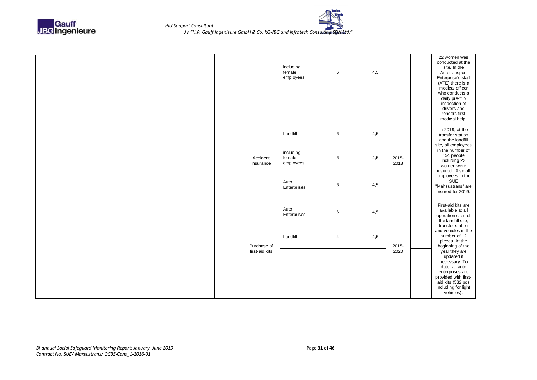



|  |  |  |                       | including<br>female<br>employees | 6              | 4,5 |               | 22 women was<br>conducted at the<br>site. In the<br>Autotransport<br>Enterprise's staff<br>(ATE) there is a<br>medical officer<br>who conducts a<br>daily pre-trip<br>inspection of<br>drivers and<br>renders first<br>medical help. |
|--|--|--|-----------------------|----------------------------------|----------------|-----|---------------|--------------------------------------------------------------------------------------------------------------------------------------------------------------------------------------------------------------------------------------|
|  |  |  |                       | Landfill                         | 6              | 4,5 |               | In 2019, at the<br>transfer station<br>and the landfill<br>site, all employees                                                                                                                                                       |
|  |  |  | Accident<br>insurance | including<br>female<br>employees | $\,6$          | 4,5 | 2015-<br>2018 | in the number of<br>154 people<br>including 22<br>women were                                                                                                                                                                         |
|  |  |  |                       | Auto<br>Enterprises              | 6              | 4,5 |               | insured . Also all<br>employees in the<br>SUE<br>"Mahsustrans" are<br>insured for 2019.                                                                                                                                              |
|  |  |  |                       | Auto<br>Enterprises              | 6              | 4,5 |               | First-aid kits are<br>available at all<br>operation sites of<br>the landfill site,                                                                                                                                                   |
|  |  |  | Purchase of           | Landfill                         | $\overline{4}$ | 4,5 | 2015-         | transfer station<br>and vehicles in the<br>number of 12<br>pieces. At the<br>beginning of the                                                                                                                                        |
|  |  |  | first-aid kits        |                                  |                |     | 2020          | year they are<br>updated if<br>necessary. To<br>date, all auto<br>enterprises are<br>provided with first-<br>aid kits (532 pcs<br>including for light<br>vehicles).                                                                  |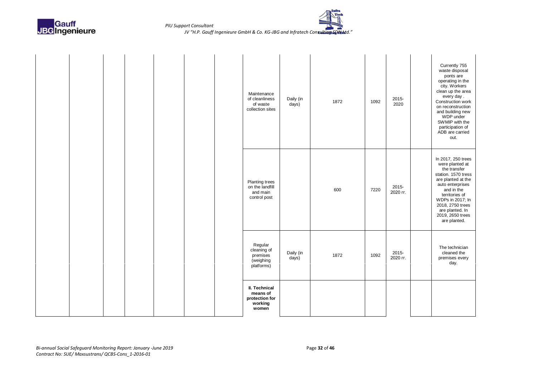



|  |  |  | Maintenance<br>of cleanliness<br>of waste<br>collection sites   | Daily (in<br>days) | 1872 | 1092 | 2015-<br>2020     | Currently 755<br>waste disposal<br>ponts are<br>operating in the<br>city. Workers<br>clean up the area<br>every day.<br>Construction work<br>on reconstruction<br>and building new<br>WDP under<br>SWMIP with the<br>participation of<br>ADB are carried<br>out. |
|--|--|--|-----------------------------------------------------------------|--------------------|------|------|-------------------|------------------------------------------------------------------------------------------------------------------------------------------------------------------------------------------------------------------------------------------------------------------|
|  |  |  | Planting trees<br>on the landfill<br>and main<br>control post   |                    | 600  | 7220 | 2015-<br>2020 гг. | In 2017, 250 trees<br>were planted at<br>the transfer<br>station. 1570 tress<br>are planted at the<br>auto enterprises<br>and in the<br>territories of<br>WDPs in 2017; In<br>2018, 2750 trees<br>are planted. In<br>2019, 2650 trees<br>are planted.            |
|  |  |  | Regular<br>cleaning of<br>premises<br>(weighing<br>platforms)   | Daily (in<br>days) | 1872 | 1092 | 2015-<br>2020 rr. | The technician<br>cleaned the<br>premises every<br>day.                                                                                                                                                                                                          |
|  |  |  | II. Technical<br>means of<br>protection for<br>working<br>women |                    |      |      |                   |                                                                                                                                                                                                                                                                  |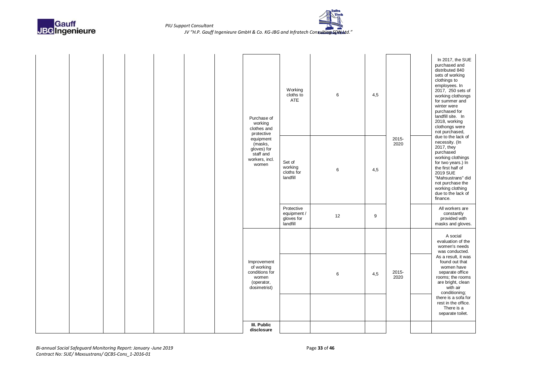



|  |  |  | Purchase of<br>working<br>clothes and                                                     | Working<br>cloths to<br>ATE                         | $\,6$ | 4,5              |               | In 2017, the SUE<br>purchased and<br>distributed 840<br>sets of working<br>clothings to<br>employees. In<br>2017, 250 sets of<br>working clothongs<br>for summer and<br>winter were<br>purchased for<br>landfill site. In<br>2018, working<br>clothongs were<br>not purchased, |
|--|--|--|-------------------------------------------------------------------------------------------|-----------------------------------------------------|-------|------------------|---------------|--------------------------------------------------------------------------------------------------------------------------------------------------------------------------------------------------------------------------------------------------------------------------------|
|  |  |  | protective<br>equipment<br>(masks,<br>gloves) for<br>staff and<br>workers, incl.<br>women | Set of<br>working<br>cloths for<br>landfill         | 6     | 4,5              | 2015-<br>2020 | due to the lack of<br>necessity. (In<br>2017, they<br>purchased<br>working clothings<br>for two years.) In<br>the first half of<br>2019 SUE<br>"Mahsustrans" did<br>not purchase the<br>working clothing<br>due to the lack of<br>finance.                                     |
|  |  |  |                                                                                           | Protective<br>equipment /<br>gloves for<br>landfill | 12    | $\boldsymbol{9}$ |               | All workers are<br>constantly<br>provided with<br>masks and gloves.                                                                                                                                                                                                            |
|  |  |  |                                                                                           |                                                     |       |                  |               | A social<br>evaluation of the<br>women's needs<br>was conducted.                                                                                                                                                                                                               |
|  |  |  | Improvement<br>of working<br>conditions for<br>women<br>(operator,<br>dosimetrist)        |                                                     | 6     | 4,5              | 2015-<br>2020 | As a result, it was<br>found out that<br>women have<br>separate office<br>rooms; the rooms<br>are bright, clean<br>with air<br>conditioning;                                                                                                                                   |
|  |  |  |                                                                                           |                                                     |       |                  |               | there is a sofa for<br>rest in the office.<br>There is a<br>separate toilet.                                                                                                                                                                                                   |
|  |  |  | III. Public<br>disclosure                                                                 |                                                     |       |                  |               |                                                                                                                                                                                                                                                                                |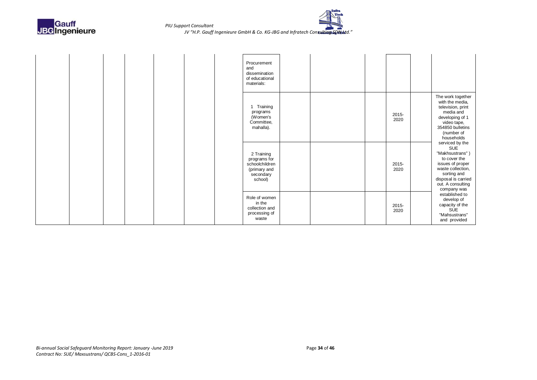



|  |  |  | Procurement<br>and<br>dissemination<br>of educational<br>materials:                  |  |               |                                                                                                                                                                                     |
|--|--|--|--------------------------------------------------------------------------------------|--|---------------|-------------------------------------------------------------------------------------------------------------------------------------------------------------------------------------|
|  |  |  | 1 Training<br>programs<br>(Women's<br>Committee,<br>mahalla).                        |  | 2015-<br>2020 | The work together<br>with the media,<br>television, print<br>media and<br>developing of 1<br>video tape,<br>354850 bulletins<br>(number of<br>households                            |
|  |  |  | 2 Training<br>programs for<br>schoolchildren<br>(primary and<br>secondary<br>school) |  | 2015-<br>2020 | serviced by the<br><b>SUE</b><br>"Makhsustrans")<br>to cover the<br>issues of proper<br>waste collection,<br>sorting and<br>disposal is carried<br>out. A consulting<br>company was |
|  |  |  | Role of women<br>in the<br>collection and<br>processing of<br>waste                  |  | 2015-<br>2020 | established to<br>develop of<br>capacity of the<br><b>SUE</b><br>"Mahsustrans"<br>and provided                                                                                      |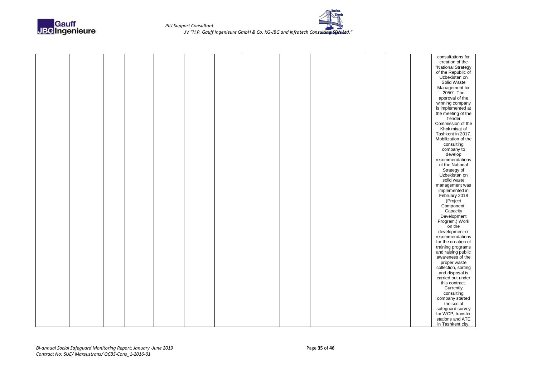

|  |  |  |  |  |  | consultations for            |
|--|--|--|--|--|--|------------------------------|
|  |  |  |  |  |  | creation of the              |
|  |  |  |  |  |  | "National Strategy           |
|  |  |  |  |  |  | of the Republic of           |
|  |  |  |  |  |  | Uzbekistan on                |
|  |  |  |  |  |  | Solid Waste                  |
|  |  |  |  |  |  |                              |
|  |  |  |  |  |  | Management for<br>2050". The |
|  |  |  |  |  |  | approval of the              |
|  |  |  |  |  |  |                              |
|  |  |  |  |  |  | winning company              |
|  |  |  |  |  |  | is implemented at            |
|  |  |  |  |  |  | the meeting of the           |
|  |  |  |  |  |  | Tender                       |
|  |  |  |  |  |  | Commission of the            |
|  |  |  |  |  |  | Khokimiyat of                |
|  |  |  |  |  |  | Tashkent in 2017.            |
|  |  |  |  |  |  | Mobilization of the          |
|  |  |  |  |  |  | consulting                   |
|  |  |  |  |  |  | company to                   |
|  |  |  |  |  |  | develop                      |
|  |  |  |  |  |  | recommendations              |
|  |  |  |  |  |  | of the National              |
|  |  |  |  |  |  | Strategy of                  |
|  |  |  |  |  |  | Uzbekistan on                |
|  |  |  |  |  |  | solid waste                  |
|  |  |  |  |  |  | management was               |
|  |  |  |  |  |  | implemented in               |
|  |  |  |  |  |  | February 2018                |
|  |  |  |  |  |  | (Project                     |
|  |  |  |  |  |  | Component:                   |
|  |  |  |  |  |  | Capacity                     |
|  |  |  |  |  |  | Development                  |
|  |  |  |  |  |  | Program.) Work               |
|  |  |  |  |  |  | on the                       |
|  |  |  |  |  |  | development of               |
|  |  |  |  |  |  | recommendations              |
|  |  |  |  |  |  | for the creation of          |
|  |  |  |  |  |  | training programs            |
|  |  |  |  |  |  | and raising public           |
|  |  |  |  |  |  | awareness of the             |
|  |  |  |  |  |  | proper waste                 |
|  |  |  |  |  |  | collection, sorting          |
|  |  |  |  |  |  | and disposal is              |
|  |  |  |  |  |  | carried out under            |
|  |  |  |  |  |  | this contract.               |
|  |  |  |  |  |  | Currently                    |
|  |  |  |  |  |  | consulting                   |
|  |  |  |  |  |  | company started              |
|  |  |  |  |  |  | the social                   |
|  |  |  |  |  |  | safeguard survey             |
|  |  |  |  |  |  | for WCP, transfer            |
|  |  |  |  |  |  | stations and ATE             |
|  |  |  |  |  |  | in Tashkent city.            |
|  |  |  |  |  |  |                              |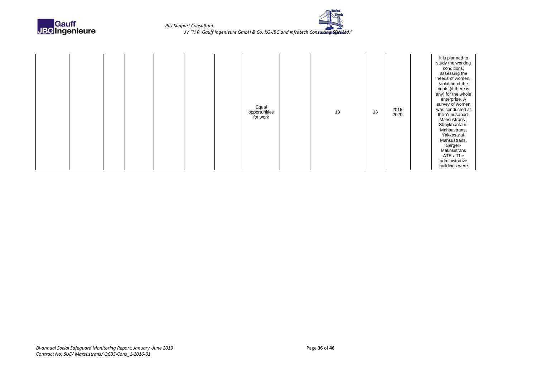



|  |  |  | Equal<br>opportunities<br>for work | 13 | 13 | $2015 -$<br>2020. | It is planned to<br>study the working<br>conditions,<br>assessing the<br>needs of women,<br>violation of the<br>rights (if there is<br>any) for the whole<br>enterprise. A<br>survey of women<br>was conducted at<br>the Yunusabad-<br>Mahsustrans,<br>Shaykhantaur-<br>Mahsustrans,<br>Yakkasarai-<br>Mahsustrans,<br>Sergeli-<br>Makhsstrans<br>ATEs. The |
|--|--|--|------------------------------------|----|----|-------------------|-------------------------------------------------------------------------------------------------------------------------------------------------------------------------------------------------------------------------------------------------------------------------------------------------------------------------------------------------------------|
|  |  |  |                                    |    |    |                   | administrative<br>buildings were                                                                                                                                                                                                                                                                                                                            |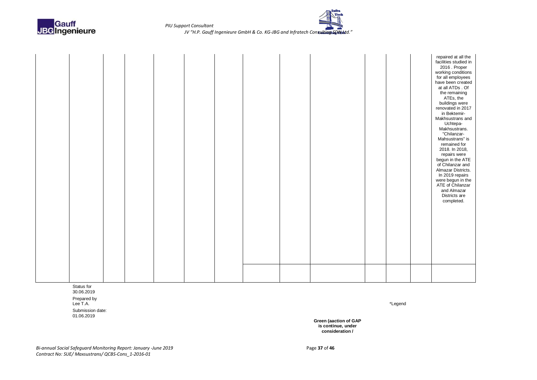

Status for 30.06.2019

Prepared by<br>Lee T.A. Lee T.A. \*Legend

Submission date: 01.06.2019

**Green (aaction of GAP is continue, under consideration /**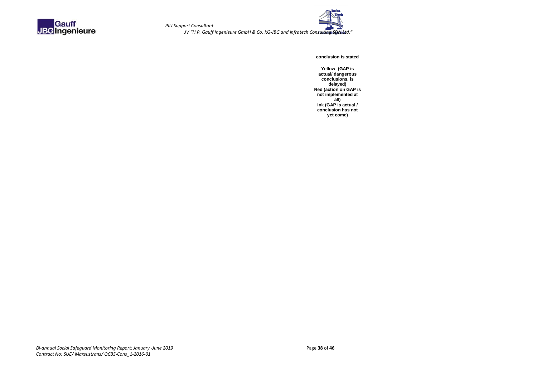



**conclusion is stated**

**Yellow (GAP is actual/ dangerous conclusions, is delayed) Red (action on GAP is not implemented at all) Ink (GAP is actual / conclusion has not yet come)**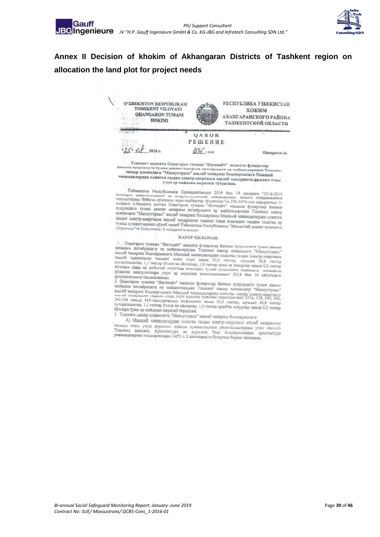

### <span id="page-38-0"></span>**Annex II Decision of khokim of Akhangaran Districts of Tashkent region on allocation the land plot for project needs**



никар совмания и этахсустранс" ишнаб чикариш бошкармасига Манший<br>чикиндилардан олинган газдан эзентр-энергизси ишлаб чиклернигиндашинлэгиш<br>желисип, учун ер майдони ажратнын туграсида.

-<br>- самы здектр-энергикон ншлаб чикариш бошкармаси Манший чикиндилардан олинган<br>- газдан электр-энергикон ишлаб Узбекнотон Республикани "Манчатаний этилгин ор 

#### КАРОР КИЛАМАН:

1. Охангарон тумани "Янгихаёт" махалла фукаронир Янгини худулилиги тумны давляг<br>захираск ихтиёридаги ер майдонларыдан Тошкеет шахир хоммынги "Михсустранс"<br>ишлаб чакариш бошкармасита Маиший чигипливными озунгын социал лахиреск ихтибридати сравность махалла фукаронар интине и хомминти туман дажне и илливб чакарии бошкармасита Манший числицияларды одинты такада электровисти "Михоустранс" илли учун жами 30,0 тектер и суторность и илливб

ауллари урни ср майдони ажратиб берилсин.

3. Тошкент шихар хонимпиги "Максустрине" ишнаб чикариш болокармасыга:

А) Манший чикиндилирдан олинган газдан электр-эпергизси ишлаб чикарыштын танком этип учун куралиш пойнха хужжиларнын расмийлаштириш учун дастлаб<br>Тошкент вылоята Архитектура ав кужжиларнын расмийлаштириш учун дастлаб<br>режалаштириш топшириклари (АРТ-1-2 кисмлары) бош бошкомариан архитектура режалаштириш топширизлари (АРТ-1-2 кисмлари)ги буюртма бериш вазифаси,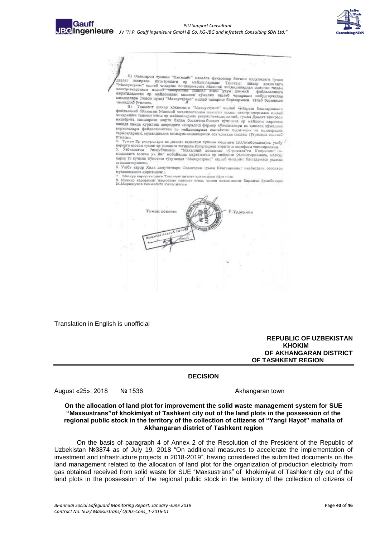

Б) Охангарон тумани "Ямгихаёт" махалла фукаролар йигини худудидаги туман<br>? - захирасы - ихтиёридаги - ер - майкондаралын - Тонгология худудидаги туман  $\mu_{\rm 100\,MHz}$  Б) Охангирон тумани "Янгикайт" махалла фукарозир Енгини худулидаги туман "Максустранс" ишкий чиндерини социализации Полителит индересные социализации с социализации с социализации с социализации с социали

иналифиана (товом пули) "Махсустранс" индиб чихаринд бошкармаси тулеб берапиши<br>11 июляда берапиши - В) Тошкент шахар хокиоланти "Махсустранс" ишлиб чихариш бишкармасына<br>19 Пошкент шахар хокиоланти "Махсустранс" ишлиб чиха харда хамда курилиш шааридаги челандова орожим кушимча ер майдоны паратици<br>корда хамда курилиш шааридаги чегаралош фермер хумаликлары ва кинолок мужемшин<br>корхоналары фойдаланыёттан ер майдонларида ишнаёттан нарынация на м

- темпонения, этимичения коммуникацияларния соз холицан секлаш тутрисида эслиций<br>9 июлена – Друнинари на Давлиг кадастри булнын бошлагы (Б.Сотиболдаев)га, ушбу<br>- карорга асосан туман ер фондига тегицина узгартнонин кинати и социалистических половится и социалистических социалистических половительствах социалистических социалистических социалистических социалистических социалистических социалистических социалистических социалистических соци огохлантирилсин

6. Ушбу карор Хили депутатлари Охамперон туман Кенгашинныг вивбатдаги соссидсы мухокамасига киритилени.

7 Мечгур кирор тислиги Тошковт килоат холимиджи сфрансии.<br>8. Минкур карорништ никоровния назорис этиш. туман хозимининг биринчи ўрнибосири М.Мириэнусов знимвента гоклатински.



Translation in English is unofficial

**REPUBLIC OF UZBEKISTAN**  *KHOKIM KHOKIM* **OF AKHANGARAN DISTRICT OF TASHKENT REGION**

#### **DECISION**

August «25», 2018 № 1536 Akhangaran town

**On the allocation of land plot for improvement the solid waste management system for SUE "Maxsustrans"of khokimiyat of Tashkent city out of the land plots in the possession of the regional public stock in the territory of the collection of citizens of "Yangi Hayot" mahalla of Akhangaran district of Tashkent region**

On the basis of paragraph 4 of Annex 2 of the Resolution of the President of the Republic of Uzbekistan №3874 as of July 19, 2018 "On additional measures to accelerate the implementation of investment and infrastructure projects in 2018-2019", having considered the submitted documents on the land management related to the allocation of land plot for the organization of production electricity from gas obtained received from solid waste for SUE "Maxsustrans" of khokimiyat of Tashkent city out of the land plots in the possession of the regional public stock in the territory of the collection of citizens of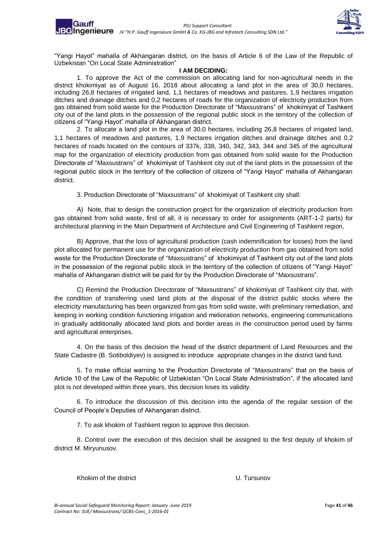

"Yangi Hayot" mahalla of Akhangaran district, on the basis of Article 6 of the Law of the Republic of Uzbekistan "On Local State Administration"

#### **I AM DECIDING:**

1. To approve the Act of the commission on allocating land for non-agricultural needs in the district khokimiyat as of August 16, 2018 about allocating a land plot in the area of 30,0 hectares, including 26,8 hectares of irrigated land, 1,1 hectares of meadows and pastures, 1,9 hectares irrigation ditches and drainage ditches and 0,2 hectares of roads for the organization of electricity production from gas obtained from solid waste for the Production Directorate of "Maxsustrans" of khokimiyat of Tashkent city out of the land plots in the possession of the regional public stock in the territory of the collection of citizens of "Yangi Hayot" mahalla of Akhangaran district.

2. To allocate a land plot in the area of 30,0 hectares, including 26,8 hectares of irrigated land, 1,1 hectares of meadows and pastures, 1,9 hectares irrigation ditches and drainage ditches and 0,2 hectares of roads located on the contours of 337k, 338, 340, 342, 343, 344 and 345 of the agricultural map for the organization of electricity production from gas obtained from solid waste for the Production Directorate of "Maxsustrans" of khokimiyat of Tashkent city out of the land plots in the possession of the regional public stock in the territory of the collection of citizens of "Yangi Hayot" mahalla of Akhangaran district.

3. Production Directorate of "Maxsustrans" of khokimiyat of Tashkent city shall:

A) Note, that to design the construction project for the organization of electricity production from gas obtained from solid waste, first of all, it is necessary to order for assignments (ART-1-2 parts) for architectural planning in the Main Department of Architecture and Civil Engineering of Tashkent region,

B) Approve, that the loss of agricultural production (cash indemnification for losses) from the land plot allocated for permanent use for the organization of electricity production from gas obtained from solid waste for the Production Directorate of "Maxsustrans" of khokimiyat of Tashkent city out of the land plots in the possession of the regional public stock in the territory of the collection of citizens of "Yangi Hayot" mahalla of Akhangaran district will be paid for by the Production Directorate of "Maxsustrans".

C) Remind the Production Directorate of "Maxsustrans" of khokimiyat of Tashkent city that, with the condition of transferring used land plots at the disposal of the district public stocks where the electricity manufacturing has been organized from gas from solid waste, with preliminary remediation, and keeping in working condition functioning irrigation and melioration networks, engineering communications in gradually additionally allocated land plots and border areas in the construction period used by farms and agricultural enterprises.

4. On the basis of this decision the head of the district department of Land Resources and the State Cadastre (B. Sotiboldiyev) is assigned to introduce appropriate changes in the district land fund.

5. To make official warning to the Production Directorate of "Maxsustrans" that on the basis of Article 10 of the Law of the Republic of Uzbekistan "On Local State Administration", if the allocated land plot is not developed within three years, this decision loses its validity.

6. To introduce the discussion of this decision into the agenda of the regular session of the Council of People's Deputies of Akhangaran district.

7. To ask khokim of Tashkent region to approve this decision.

8. Control over the execution of this decision shall be assigned to the first deputy of khokim of district M. Miryunusov.

Khokim of the district U. Tursunov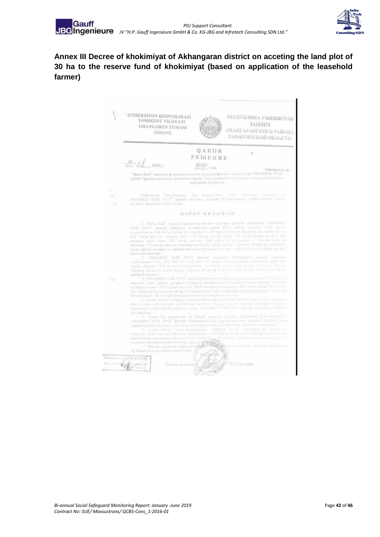

<span id="page-41-0"></span>**Annex III Decree of khokimiyat of Akhangaran district on acceting the land plot of 30 ha to the reserve fund of khokimiyat (based on application of the leasehold farmer)**

O'ZBEKISTON RESPUBLIKASI РЕСПУБЛИКА УЗБЕКИСТАН TOSHKENT VILOYATI **ХОКИМ** OHANGARON TUMANI АХАНГАРАНСКОГО РАЙОНА HOKIMI **TAILIKEHTCKOH OEJACTH** QAROR  $\bar{a}$ РЕШЕНИЕ  $-19 - 08$ 2018 v.  $1999 - \text{run}$  $\underbrace{D2Z}_{\text{mean}} = \text{row 3}: \begin{array}{ll} \text{D2Z} & \text{row}\\ \text{mean 3size} & \text{mean 4size} \\ \text{mean 5size} & \text{maxmin}\\ \text{mean 4size} & \text{summin}\\ \text{mean 5size} & \text{maxmin}\\ \text{mean 5size} & \text{summin}\\ \text{mean 6size} & \text{summax}\\ \text{mean 7size} & \text{summax}\\ \text{mean 8size} & \text{summax}\\ \text{mean 9size} & \text{summax}\\ \text{mean 9size} & \text{summax}\\ \text{mean 10size} & \text{summax}\\ \text{mean$  ${\rm ZIVO}^n$ фермер Ужалита ер чыйловларнын бар касманы туулал таалат таанан ичтийриги кат .<br> Узбавистом Республика<br/>ул "Бу надалас"ним і бий Зимнала і бизник в тулі Діблика в тулі діблика до стари у билансь разбари.<br> Холимбиний турил надаб KAPOP KHJAMAR:  $\mathbf{L}$  – Ката Хайт" масалла фународар поэтов худулана фамлом<br/>л жүнтлэгтэй. "SUAHIO2 NQID. 23YO" фермор. «Уиханаа «өдээйрлдийн нагаа 31.<br/>н таатар. хараалаа (15,00 төвээр сутарлалаата, 0,8 экспар адмаа. 244 жилт<  $\begin{tabular}{l|cccccc|} \hline $G_{\text{P}}$ & $S \in \mathcal{A}$ & $S \in \mathcal{A}$ & $S \in \mathcal{A}$ & $S \in \mathcal{A}$ & $S \in \mathcal{A}$ & $S \in \mathcal{A}$ & $S \in \mathcal{A}$ & $S \in \mathcal{A}$ & $S \in \mathcal{A}$ & $S \in \mathcal{A}$ & $S \in \mathcal{A}$ & $S \in \mathcal{A}$ & $S \in \mathcal{A}$ & $S \in \mathcal{A}$ & $S \in \mathcal{A}$ & $S \in \mathcal{A}$ & $S \in \mathcal{A}$ & $S \in \mathcal$ интиров одними. <br> 3. ~115 д-1167 (1971). Отрату хультата возмощных с ложно процесси 300 следу с найдат и подрага и найдат модил стандарта натирально проссийски било природ удивность возмощно стандарта на подрага на подра entrupoli economic sistanparent. жазаража.<br>- 3. Туман Ер разрезире на Дианг назисте Радоне быцанита (БСетесканса)<br>-SHAHBOZ NURI ZVO" фернер связантное. Ер участкизно учас чуллили пидита возн нартировкови въблизан селот веду послонало технолог<br/> Ганделева ворното основналото.<br> 6. Тукво "Данат Селот вопитания», — найрале — не «Гразеумо за замение "Види (1990).<br> 1990 г. – Найрал Банандов реберенции (SHAHIR)/ spractuping area inputs and their spectrum Formula Company and Company and Company and Company and Company and Company and Company and Company and Company and Company and Company and Company and Company and Company and Company and Company and Company and Company an husa.c.i **UA TO GREE** J. У. Гурсунов.  $w_{\mathcal{A}}$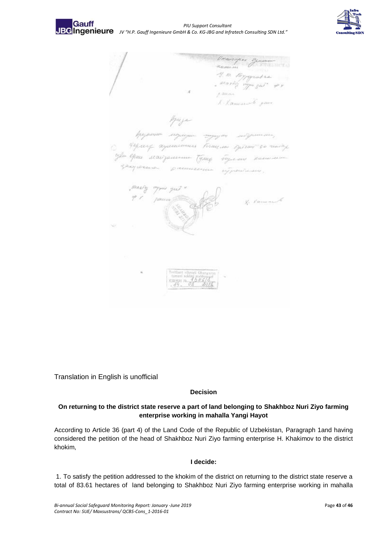

Ожасторое заним 4. 10. Fayeyrood ra maxing up gut 40 A Buch 1 Kamison 6 years ррушие медиции надоден матринист, Apay agamanas tragua spira so navag ofte épuis seasizonement tymp sugarons somerne.<br>1924 service premierunt informationes. ayou jus of Samura  $\begin{array}{l} \text{Trabilant volume} \\ \text{thermal volume} \\ \text{KIR} \\ \text{KIR} \\ \text{FIR} \\ \text{FIR} \\ \text{FIR} \\ \text{FIR} \\ \text{FIR} \\ \text{FIR} \\ \text{FIR} \\ \text{FIR} \\ \text{FIR} \\ \text{FIR} \\ \text{FIR} \\ \text{FIR} \\ \text{FIR} \\ \text{FIR} \\ \text{FIR} \\ \text{FIR} \\ \text{FIR} \\ \text{FIR} \\ \text{FIR} \\ \text{FIR} \\ \text{FIR} \\ \text{FIR} \\ \text{FIR} \\ \text{FIR} \\ \text{FIR} \\ \text{FIR} \\$ 

Translation in English is unofficial

#### **Decision**

#### **On returning to the district state reserve a part of land belonging to Shakhboz Nuri Ziyo farming enterprise working in mahalla Yangi Hayot**

According to Article 36 (part 4) of the Land Code of the Republic of Uzbekistan, Paragraph 1and having considered the petition of the head of Shakhboz Nuri Ziyo farming enterprise H. Khakimov to the district khokim,

#### **I decide:**

1. To satisfy the petition addressed to the khokim of the district on returning to the district state reserve a total of 83.61 hectares of land belonging to Shakhboz Nuri Ziyo farming enterprise working in mahalla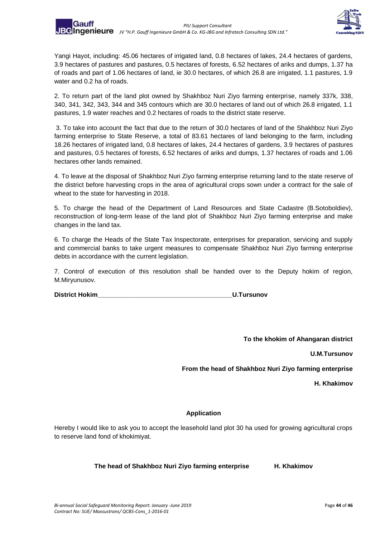

Yangi Hayot, including: 45.06 hectares of irrigated land, 0.8 hectares of lakes, 24.4 hectares of gardens, 3.9 hectares of pastures and pastures, 0.5 hectares of forests, 6.52 hectares of ariks and dumps, 1.37 ha of roads and part of 1.06 hectares of land, ie 30.0 hectares, of which 26.8 are irrigated, 1.1 pastures, 1.9 water and 0.2 ha of roads.

2. To return part of the land plot owned by Shakhboz Nuri Ziyo farming enterprise, namely 337k, 338, 340, 341, 342, 343, 344 and 345 contours which are 30.0 hectares of land out of which 26.8 irrigated, 1.1 pastures, 1.9 water reaches and 0.2 hectares of roads to the district state reserve.

3. To take into account the fact that due to the return of 30.0 hectares of land of the Shakhboz Nuri Ziyo farming enterprise to State Reserve, a total of 83.61 hectares of land belonging to the farm, including 18.26 hectares of irrigated land, 0.8 hectares of lakes, 24.4 hectares of gardens, 3.9 hectares of pastures and pastures, 0.5 hectares of forests, 6.52 hectares of ariks and dumps, 1.37 hectares of roads and 1.06 hectares other lands remained.

4. To leave at the disposal of Shakhboz Nuri Ziyo farming enterprise returning land to the state reserve of the district before harvesting crops in the area of agricultural crops sown under a contract for the sale of wheat to the state for harvesting in 2018.

5. To charge the head of the Department of Land Resources and State Cadastre (B.Sotoboldiev), reconstruction of long-term lease of the land plot of Shakhboz Nuri Ziyo farming enterprise and make changes in the land tax.

6. To charge the Heads of the State Tax Inspectorate, enterprises for preparation, servicing and supply and commercial banks to take urgent measures to compensate Shakhboz Nuri Ziyo farming enterprise debts in accordance with the current legislation.

7. Control of execution of this resolution shall be handed over to the Deputy hokim of region, M.Miryunusov.

| <b>District Hokim</b> | <b>U.Tursunov</b> |
|-----------------------|-------------------|
|-----------------------|-------------------|

**To the khokim of Ahangaran district**

**U.M.Tursunov**

**From the head of Shakhboz Nuri Ziyo farming enterprise**

**H. Khakimov** 

#### **Application**

Hereby I would like to ask you to accept the leasehold land plot 30 ha used for growing agricultural crops to reserve land fond of khokimiyat.

#### **The head of Shakhboz Nuri Ziyo farming enterprise H. Khakimov**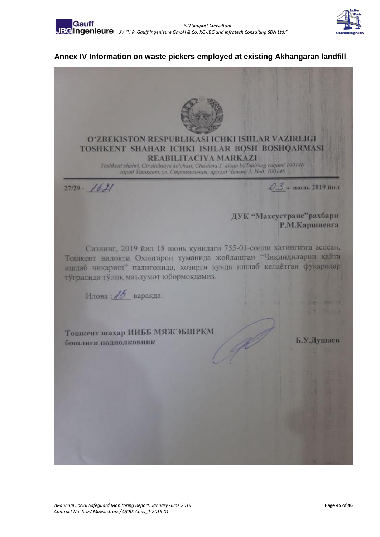

### <span id="page-44-0"></span>**Annex IV Information on waste pickers employed at existing Akhangaran landfill**

O'ZBEKISTON RESPUBLIKASI ICHKI ISHLAR VAZIRLIGI TOSHKENT SHAHAR ICHKI ISHLAR BOSH BOSHQARMASI REABILITACIYA MARKAZI Toshkent shahri, Ctroitelnava ko'chasi, Chashma 3, aloqa bo'limining raqami 100146<br>2000 Taluxenm, yn. Cmpoumenonan, npoeso Yaluxua 3, Huo, 100146  $0.3$ » пюль 2019 йил  $27/29 - 1621$ ДУК "Махсустранс"рахбари Р.М.Каршиевга Сизнинг, 2019 йил 18 июнь кунидаги 755-01-сонли хатингизга асосан, Тошкент вилояти Охангарон туманида жойлашган "Чикиндиларни кайта ишлаб чикариш" палигонида, хозирги кунда ишлаб келаётган фукаролар тўғрисида тўлик маълумот юбормокдамиз. Илова: 15 варакда. Тошкент шахар ИИББ МЯЖЭБШРКМ Б.У.Душаев бощлиги подполковник